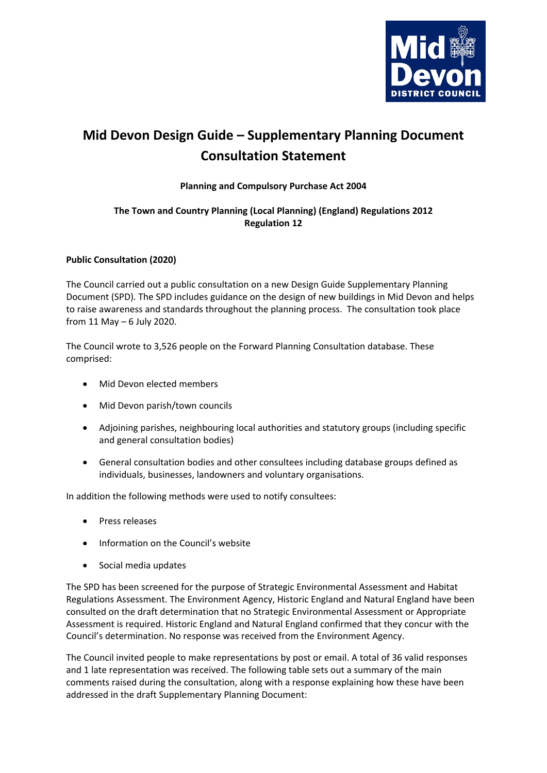

## **Mid Devon Design Guide – Supplementary Planning Document Consultation Statement**

## **Planning and Compulsory Purchase Act 2004**

## **The Town and Country Planning (Local Planning) (England) Regulations 2012 Regulation 12**

## **Public Consultation (2020)**

The Council carried out a public consultation on a new Design Guide Supplementary Planning Document (SPD). The SPD includes guidance on the design of new buildings in Mid Devon and helps to raise awareness and standards throughout the planning process. The consultation took place from 11 May – 6 July 2020.

The Council wrote to 3,526 people on the Forward Planning Consultation database. These comprised:

- Mid Devon elected members
- Mid Devon parish/town councils
- Adjoining parishes, neighbouring local authorities and statutory groups (including specific and general consultation bodies)
- General consultation bodies and other consultees including database groups defined as individuals, businesses, landowners and voluntary organisations.

In addition the following methods were used to notify consultees:

- Press releases
- Information on the Council's website
- Social media updates

The SPD has been screened for the purpose of Strategic Environmental Assessment and Habitat Regulations Assessment. The Environment Agency, Historic England and Natural England have been consulted on the draft determination that no Strategic Environmental Assessment or Appropriate Assessment is required. Historic England and Natural England confirmed that they concur with the Council's determination. No response was received from the Environment Agency.

The Council invited people to make representations by post or email. A total of 36 valid responses and 1 late representation was received. The following table sets out a summary of the main comments raised during the consultation, along with a response explaining how these have been addressed in the draft Supplementary Planning Document: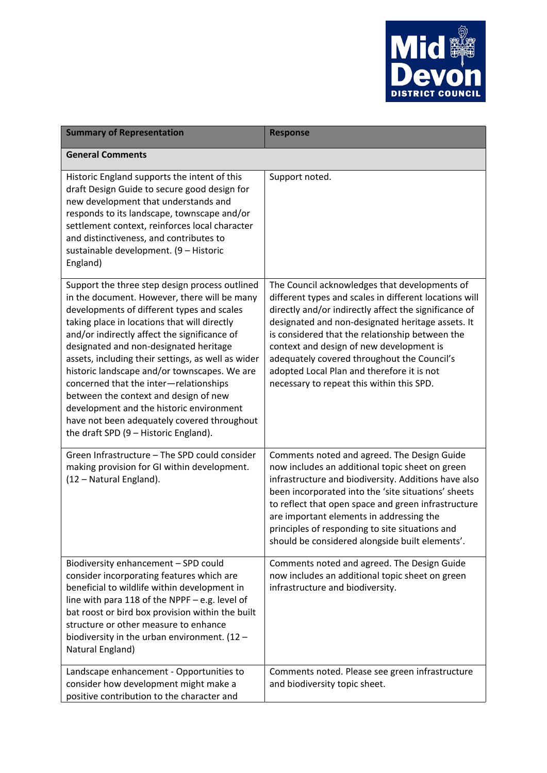

| <b>Summary of Representation</b>                                                                                                                                                                                                                                                                                                                                                                                                                                                                                                                                                                                    | <b>Response</b>                                                                                                                                                                                                                                                                                                                                                                                                                                                |
|---------------------------------------------------------------------------------------------------------------------------------------------------------------------------------------------------------------------------------------------------------------------------------------------------------------------------------------------------------------------------------------------------------------------------------------------------------------------------------------------------------------------------------------------------------------------------------------------------------------------|----------------------------------------------------------------------------------------------------------------------------------------------------------------------------------------------------------------------------------------------------------------------------------------------------------------------------------------------------------------------------------------------------------------------------------------------------------------|
| <b>General Comments</b>                                                                                                                                                                                                                                                                                                                                                                                                                                                                                                                                                                                             |                                                                                                                                                                                                                                                                                                                                                                                                                                                                |
| Historic England supports the intent of this<br>draft Design Guide to secure good design for<br>new development that understands and<br>responds to its landscape, townscape and/or<br>settlement context, reinforces local character<br>and distinctiveness, and contributes to<br>sustainable development. (9 - Historic<br>England)                                                                                                                                                                                                                                                                              | Support noted.                                                                                                                                                                                                                                                                                                                                                                                                                                                 |
| Support the three step design process outlined<br>in the document. However, there will be many<br>developments of different types and scales<br>taking place in locations that will directly<br>and/or indirectly affect the significance of<br>designated and non-designated heritage<br>assets, including their settings, as well as wider<br>historic landscape and/or townscapes. We are<br>concerned that the inter-relationships<br>between the context and design of new<br>development and the historic environment<br>have not been adequately covered throughout<br>the draft SPD (9 - Historic England). | The Council acknowledges that developments of<br>different types and scales in different locations will<br>directly and/or indirectly affect the significance of<br>designated and non-designated heritage assets. It<br>is considered that the relationship between the<br>context and design of new development is<br>adequately covered throughout the Council's<br>adopted Local Plan and therefore it is not<br>necessary to repeat this within this SPD. |
| Green Infrastructure - The SPD could consider<br>making provision for GI within development.<br>(12 - Natural England).                                                                                                                                                                                                                                                                                                                                                                                                                                                                                             | Comments noted and agreed. The Design Guide<br>now includes an additional topic sheet on green<br>infrastructure and biodiversity. Additions have also<br>been incorporated into the 'site situations' sheets<br>to reflect that open space and green infrastructure<br>are important elements in addressing the<br>principles of responding to site situations and<br>should be considered alongside built elements'.                                         |
| Biodiversity enhancement - SPD could<br>consider incorporating features which are<br>beneficial to wildlife within development in<br>line with para 118 of the NPPF $-$ e.g. level of<br>bat roost or bird box provision within the built<br>structure or other measure to enhance<br>biodiversity in the urban environment. $(12 -$<br>Natural England)                                                                                                                                                                                                                                                            | Comments noted and agreed. The Design Guide<br>now includes an additional topic sheet on green<br>infrastructure and biodiversity.                                                                                                                                                                                                                                                                                                                             |
| Landscape enhancement - Opportunities to<br>consider how development might make a<br>positive contribution to the character and                                                                                                                                                                                                                                                                                                                                                                                                                                                                                     | Comments noted. Please see green infrastructure<br>and biodiversity topic sheet.                                                                                                                                                                                                                                                                                                                                                                               |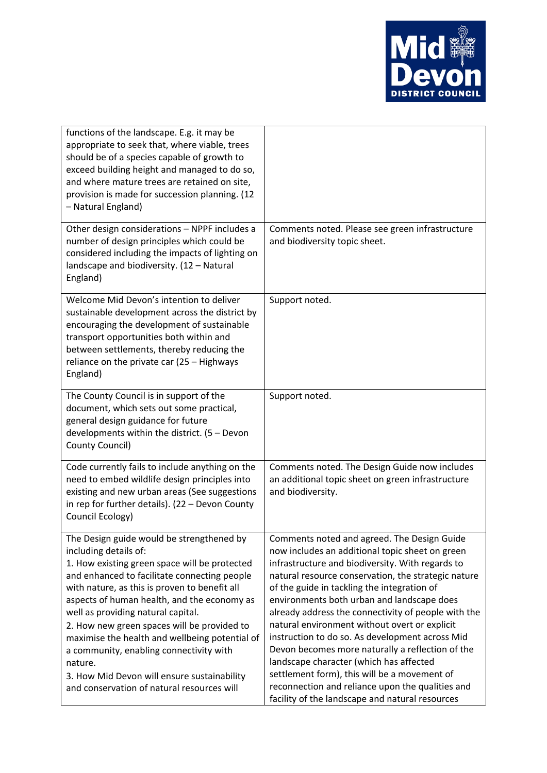

| functions of the landscape. E.g. it may be<br>appropriate to seek that, where viable, trees<br>should be of a species capable of growth to<br>exceed building height and managed to do so,<br>and where mature trees are retained on site,<br>provision is made for succession planning. (12<br>- Natural England)                                                                                                                                                                                                                                            |                                                                                                                                                                                                                                                                                                                                                                                                                                                                                                                                                                                                                                                                                                                         |
|---------------------------------------------------------------------------------------------------------------------------------------------------------------------------------------------------------------------------------------------------------------------------------------------------------------------------------------------------------------------------------------------------------------------------------------------------------------------------------------------------------------------------------------------------------------|-------------------------------------------------------------------------------------------------------------------------------------------------------------------------------------------------------------------------------------------------------------------------------------------------------------------------------------------------------------------------------------------------------------------------------------------------------------------------------------------------------------------------------------------------------------------------------------------------------------------------------------------------------------------------------------------------------------------------|
| Other design considerations - NPPF includes a<br>number of design principles which could be<br>considered including the impacts of lighting on<br>landscape and biodiversity. (12 - Natural<br>England)                                                                                                                                                                                                                                                                                                                                                       | Comments noted. Please see green infrastructure<br>and biodiversity topic sheet.                                                                                                                                                                                                                                                                                                                                                                                                                                                                                                                                                                                                                                        |
| Welcome Mid Devon's intention to deliver<br>sustainable development across the district by<br>encouraging the development of sustainable<br>transport opportunities both within and<br>between settlements, thereby reducing the<br>reliance on the private car (25 - Highways<br>England)                                                                                                                                                                                                                                                                    | Support noted.                                                                                                                                                                                                                                                                                                                                                                                                                                                                                                                                                                                                                                                                                                          |
| The County Council is in support of the<br>document, which sets out some practical,<br>general design guidance for future<br>developments within the district. $(5 - Devon)$<br>County Council)                                                                                                                                                                                                                                                                                                                                                               | Support noted.                                                                                                                                                                                                                                                                                                                                                                                                                                                                                                                                                                                                                                                                                                          |
| Code currently fails to include anything on the<br>need to embed wildlife design principles into<br>existing and new urban areas (See suggestions<br>in rep for further details). $(22 – Devon County)$<br>Council Ecology)                                                                                                                                                                                                                                                                                                                                   | Comments noted. The Design Guide now includes<br>an additional topic sheet on green infrastructure<br>and biodiversity.                                                                                                                                                                                                                                                                                                                                                                                                                                                                                                                                                                                                 |
| The Design guide would be strengthened by<br>including details of:<br>1. How existing green space will be protected<br>and enhanced to facilitate connecting people<br>with nature, as this is proven to benefit all<br>aspects of human health, and the economy as<br>well as providing natural capital.<br>2. How new green spaces will be provided to<br>maximise the health and wellbeing potential of<br>a community, enabling connectivity with<br>nature.<br>3. How Mid Devon will ensure sustainability<br>and conservation of natural resources will | Comments noted and agreed. The Design Guide<br>now includes an additional topic sheet on green<br>infrastructure and biodiversity. With regards to<br>natural resource conservation, the strategic nature<br>of the guide in tackling the integration of<br>environments both urban and landscape does<br>already address the connectivity of people with the<br>natural environment without overt or explicit<br>instruction to do so. As development across Mid<br>Devon becomes more naturally a reflection of the<br>landscape character (which has affected<br>settlement form), this will be a movement of<br>reconnection and reliance upon the qualities and<br>facility of the landscape and natural resources |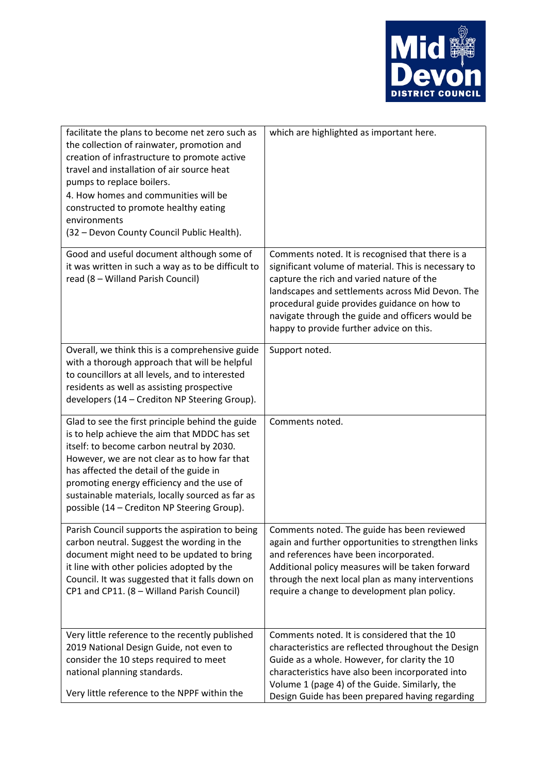

| facilitate the plans to become net zero such as<br>the collection of rainwater, promotion and<br>creation of infrastructure to promote active<br>travel and installation of air source heat<br>pumps to replace boilers.<br>4. How homes and communities will be<br>constructed to promote healthy eating<br>environments<br>(32 - Devon County Council Public Health).                   | which are highlighted as important here.                                                                                                                                                                                                                                                                                                                  |
|-------------------------------------------------------------------------------------------------------------------------------------------------------------------------------------------------------------------------------------------------------------------------------------------------------------------------------------------------------------------------------------------|-----------------------------------------------------------------------------------------------------------------------------------------------------------------------------------------------------------------------------------------------------------------------------------------------------------------------------------------------------------|
| Good and useful document although some of<br>it was written in such a way as to be difficult to<br>read (8 - Willand Parish Council)                                                                                                                                                                                                                                                      | Comments noted. It is recognised that there is a<br>significant volume of material. This is necessary to<br>capture the rich and varied nature of the<br>landscapes and settlements across Mid Devon. The<br>procedural guide provides guidance on how to<br>navigate through the guide and officers would be<br>happy to provide further advice on this. |
| Overall, we think this is a comprehensive guide<br>with a thorough approach that will be helpful<br>to councillors at all levels, and to interested<br>residents as well as assisting prospective<br>developers (14 - Crediton NP Steering Group).                                                                                                                                        | Support noted.                                                                                                                                                                                                                                                                                                                                            |
| Glad to see the first principle behind the guide<br>is to help achieve the aim that MDDC has set<br>itself: to become carbon neutral by 2030.<br>However, we are not clear as to how far that<br>has affected the detail of the guide in<br>promoting energy efficiency and the use of<br>sustainable materials, locally sourced as far as<br>possible (14 - Crediton NP Steering Group). | Comments noted.                                                                                                                                                                                                                                                                                                                                           |
| Parish Council supports the aspiration to being<br>carbon neutral. Suggest the wording in the<br>document might need to be updated to bring<br>it line with other policies adopted by the<br>Council. It was suggested that it falls down on<br>CP1 and CP11. (8 - Willand Parish Council)                                                                                                | Comments noted. The guide has been reviewed<br>again and further opportunities to strengthen links<br>and references have been incorporated.<br>Additional policy measures will be taken forward<br>through the next local plan as many interventions<br>require a change to development plan policy.                                                     |
| Very little reference to the recently published<br>2019 National Design Guide, not even to<br>consider the 10 steps required to meet<br>national planning standards.<br>Very little reference to the NPPF within the                                                                                                                                                                      | Comments noted. It is considered that the 10<br>characteristics are reflected throughout the Design<br>Guide as a whole. However, for clarity the 10<br>characteristics have also been incorporated into<br>Volume 1 (page 4) of the Guide. Similarly, the<br>Design Guide has been prepared having regarding                                             |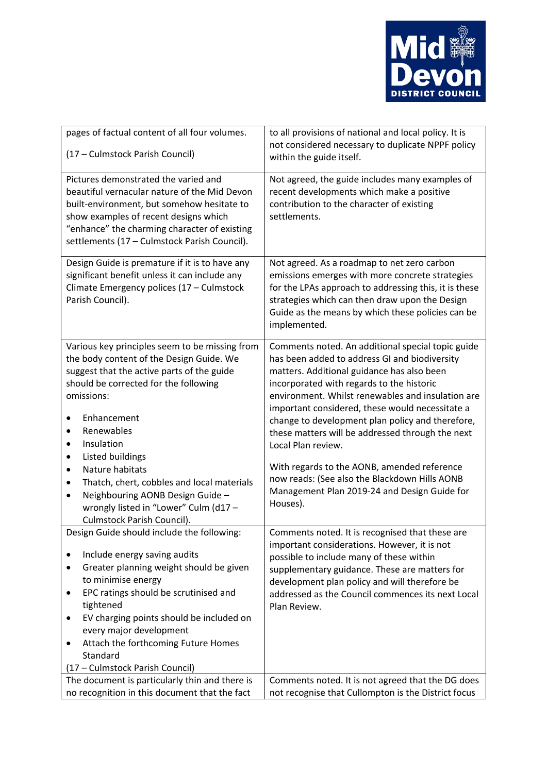

| pages of factual content of all four volumes.<br>(17 - Culmstock Parish Council)                                                                                                                                                                                                                                                                                                                                                                                                                              | to all provisions of national and local policy. It is<br>not considered necessary to duplicate NPPF policy<br>within the guide itself.                                                                                                                                                                                                                                                                                                                                                                                                                                                          |
|---------------------------------------------------------------------------------------------------------------------------------------------------------------------------------------------------------------------------------------------------------------------------------------------------------------------------------------------------------------------------------------------------------------------------------------------------------------------------------------------------------------|-------------------------------------------------------------------------------------------------------------------------------------------------------------------------------------------------------------------------------------------------------------------------------------------------------------------------------------------------------------------------------------------------------------------------------------------------------------------------------------------------------------------------------------------------------------------------------------------------|
| Pictures demonstrated the varied and<br>beautiful vernacular nature of the Mid Devon<br>built-environment, but somehow hesitate to<br>show examples of recent designs which<br>"enhance" the charming character of existing<br>settlements (17 - Culmstock Parish Council).                                                                                                                                                                                                                                   | Not agreed, the guide includes many examples of<br>recent developments which make a positive<br>contribution to the character of existing<br>settlements.                                                                                                                                                                                                                                                                                                                                                                                                                                       |
| Design Guide is premature if it is to have any<br>significant benefit unless it can include any<br>Climate Emergency polices (17 - Culmstock<br>Parish Council).                                                                                                                                                                                                                                                                                                                                              | Not agreed. As a roadmap to net zero carbon<br>emissions emerges with more concrete strategies<br>for the LPAs approach to addressing this, it is these<br>strategies which can then draw upon the Design<br>Guide as the means by which these policies can be<br>implemented.                                                                                                                                                                                                                                                                                                                  |
| Various key principles seem to be missing from<br>the body content of the Design Guide. We<br>suggest that the active parts of the guide<br>should be corrected for the following<br>omissions:<br>Enhancement<br>$\bullet$<br>Renewables<br>٠<br>Insulation<br>$\bullet$<br>Listed buildings<br>٠<br>Nature habitats<br>٠<br>Thatch, chert, cobbles and local materials<br>$\bullet$<br>Neighbouring AONB Design Guide -<br>$\bullet$<br>wrongly listed in "Lower" Culm (d17 -<br>Culmstock Parish Council). | Comments noted. An additional special topic guide<br>has been added to address GI and biodiversity<br>matters. Additional guidance has also been<br>incorporated with regards to the historic<br>environment. Whilst renewables and insulation are<br>important considered, these would necessitate a<br>change to development plan policy and therefore,<br>these matters will be addressed through the next<br>Local Plan review.<br>With regards to the AONB, amended reference<br>now reads: (See also the Blackdown Hills AONB<br>Management Plan 2019-24 and Design Guide for<br>Houses). |
| Design Guide should include the following:<br>Include energy saving audits<br>Greater planning weight should be given<br>$\bullet$<br>to minimise energy<br>EPC ratings should be scrutinised and<br>٠<br>tightened<br>EV charging points should be included on<br>$\bullet$<br>every major development<br>Attach the forthcoming Future Homes<br>٠<br>Standard<br>(17 - Culmstock Parish Council)                                                                                                            | Comments noted. It is recognised that these are<br>important considerations. However, it is not<br>possible to include many of these within<br>supplementary guidance. These are matters for<br>development plan policy and will therefore be<br>addressed as the Council commences its next Local<br>Plan Review.                                                                                                                                                                                                                                                                              |
| The document is particularly thin and there is<br>no recognition in this document that the fact                                                                                                                                                                                                                                                                                                                                                                                                               | Comments noted. It is not agreed that the DG does<br>not recognise that Cullompton is the District focus                                                                                                                                                                                                                                                                                                                                                                                                                                                                                        |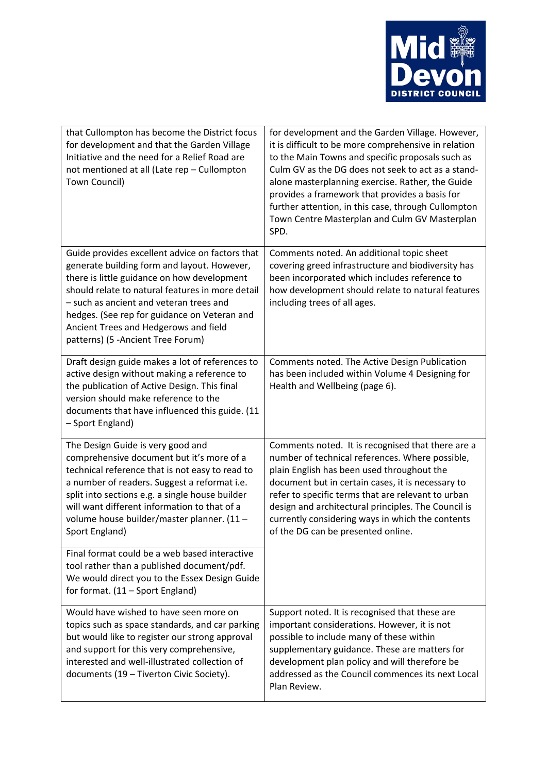

| that Cullompton has become the District focus<br>for development and that the Garden Village<br>Initiative and the need for a Relief Road are<br>not mentioned at all (Late rep - Cullompton<br>Town Council)                                                                                                                                                               | for development and the Garden Village. However,<br>it is difficult to be more comprehensive in relation<br>to the Main Towns and specific proposals such as<br>Culm GV as the DG does not seek to act as a stand-<br>alone masterplanning exercise. Rather, the Guide<br>provides a framework that provides a basis for<br>further attention, in this case, through Cullompton<br>Town Centre Masterplan and Culm GV Masterplan<br>SPD. |
|-----------------------------------------------------------------------------------------------------------------------------------------------------------------------------------------------------------------------------------------------------------------------------------------------------------------------------------------------------------------------------|------------------------------------------------------------------------------------------------------------------------------------------------------------------------------------------------------------------------------------------------------------------------------------------------------------------------------------------------------------------------------------------------------------------------------------------|
| Guide provides excellent advice on factors that<br>generate building form and layout. However,<br>there is little guidance on how development<br>should relate to natural features in more detail<br>- such as ancient and veteran trees and<br>hedges. (See rep for guidance on Veteran and<br>Ancient Trees and Hedgerows and field<br>patterns) (5 - Ancient Tree Forum) | Comments noted. An additional topic sheet<br>covering greed infrastructure and biodiversity has<br>been incorporated which includes reference to<br>how development should relate to natural features<br>including trees of all ages.                                                                                                                                                                                                    |
| Draft design guide makes a lot of references to<br>active design without making a reference to<br>the publication of Active Design. This final<br>version should make reference to the<br>documents that have influenced this guide. (11<br>- Sport England)                                                                                                                | Comments noted. The Active Design Publication<br>has been included within Volume 4 Designing for<br>Health and Wellbeing (page 6).                                                                                                                                                                                                                                                                                                       |
| The Design Guide is very good and<br>comprehensive document but it's more of a<br>technical reference that is not easy to read to<br>a number of readers. Suggest a reformat i.e.<br>split into sections e.g. a single house builder<br>will want different information to that of a<br>volume house builder/master planner. (11 -<br>Sport England)                        | Comments noted. It is recognised that there are a<br>number of technical references. Where possible,<br>plain English has been used throughout the<br>document but in certain cases, it is necessary to<br>refer to specific terms that are relevant to urban<br>design and architectural principles. The Council is<br>currently considering ways in which the contents<br>of the DG can be presented online.                           |
| Final format could be a web based interactive<br>tool rather than a published document/pdf.<br>We would direct you to the Essex Design Guide<br>for format. (11 - Sport England)                                                                                                                                                                                            |                                                                                                                                                                                                                                                                                                                                                                                                                                          |
| Would have wished to have seen more on<br>topics such as space standards, and car parking<br>but would like to register our strong approval<br>and support for this very comprehensive,<br>interested and well-illustrated collection of<br>documents (19 - Tiverton Civic Society).                                                                                        | Support noted. It is recognised that these are<br>important considerations. However, it is not<br>possible to include many of these within<br>supplementary guidance. These are matters for<br>development plan policy and will therefore be<br>addressed as the Council commences its next Local<br>Plan Review.                                                                                                                        |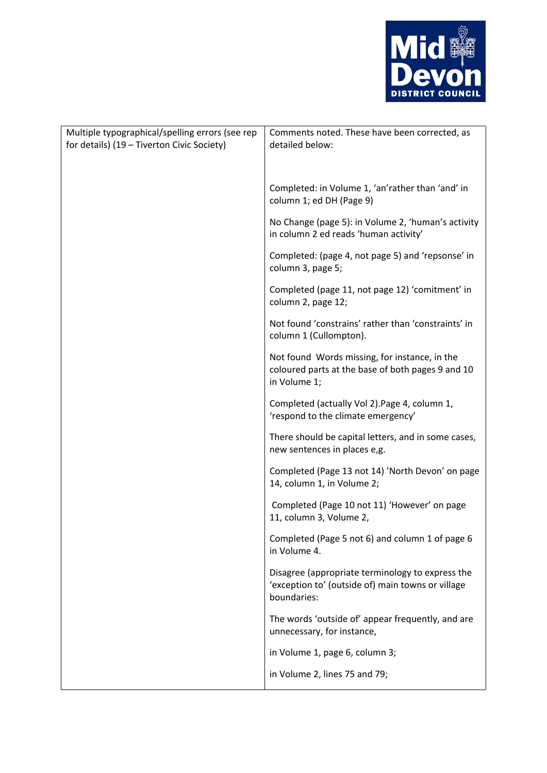

| Multiple typographical/spelling errors (see rep<br>for details) (19 - Tiverton Civic Society) | Comments noted. These have been corrected, as<br>detailed below:                                                     |
|-----------------------------------------------------------------------------------------------|----------------------------------------------------------------------------------------------------------------------|
|                                                                                               | Completed: in Volume 1, 'an'rather than 'and' in<br>column 1; ed DH (Page 9)                                         |
|                                                                                               | No Change (page 5): in Volume 2, 'human's activity<br>in column 2 ed reads 'human activity'                          |
|                                                                                               | Completed: (page 4, not page 5) and 'repsonse' in<br>column 3, page 5;                                               |
|                                                                                               | Completed (page 11, not page 12) 'comitment' in<br>column 2, page 12;                                                |
|                                                                                               | Not found 'constrains' rather than 'constraints' in<br>column 1 (Cullompton).                                        |
|                                                                                               | Not found Words missing, for instance, in the<br>coloured parts at the base of both pages 9 and 10<br>in Volume 1;   |
|                                                                                               | Completed (actually Vol 2). Page 4, column 1,<br>'respond to the climate emergency'                                  |
|                                                                                               | There should be capital letters, and in some cases,<br>new sentences in places e,g.                                  |
|                                                                                               | Completed (Page 13 not 14) 'North Devon' on page<br>14, column 1, in Volume 2;                                       |
|                                                                                               | Completed (Page 10 not 11) 'However' on page<br>11, column 3, Volume 2,                                              |
|                                                                                               | Completed (Page 5 not 6) and column 1 of page 6<br>in Volume 4.                                                      |
|                                                                                               | Disagree (appropriate terminology to express the<br>'exception to' (outside of) main towns or village<br>boundaries: |
|                                                                                               | The words 'outside of' appear frequently, and are<br>unnecessary, for instance,                                      |
|                                                                                               | in Volume 1, page 6, column 3;                                                                                       |
|                                                                                               | in Volume 2, lines 75 and 79;                                                                                        |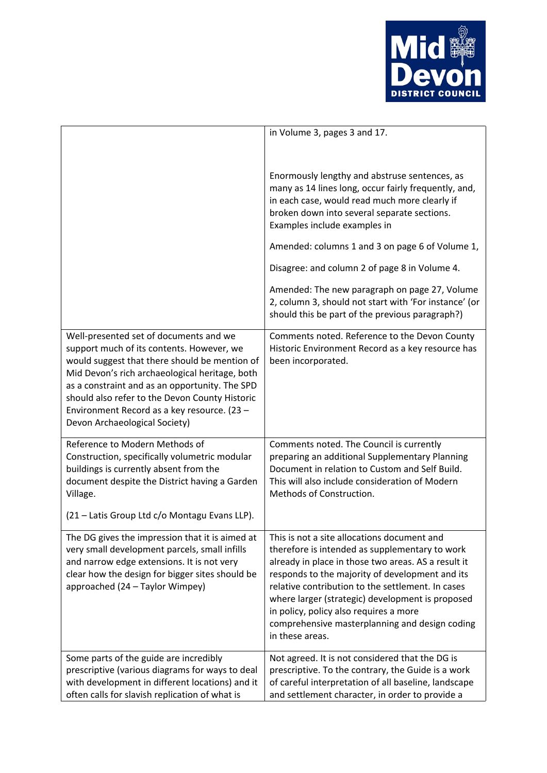

|                                                                                                                                                                                                                                                                                                                                                                            | in Volume 3, pages 3 and 17.                                                                                                                                                                                                                                                                                                                                                                                                                                                                           |
|----------------------------------------------------------------------------------------------------------------------------------------------------------------------------------------------------------------------------------------------------------------------------------------------------------------------------------------------------------------------------|--------------------------------------------------------------------------------------------------------------------------------------------------------------------------------------------------------------------------------------------------------------------------------------------------------------------------------------------------------------------------------------------------------------------------------------------------------------------------------------------------------|
|                                                                                                                                                                                                                                                                                                                                                                            | Enormously lengthy and abstruse sentences, as<br>many as 14 lines long, occur fairly frequently, and,<br>in each case, would read much more clearly if<br>broken down into several separate sections.<br>Examples include examples in<br>Amended: columns 1 and 3 on page 6 of Volume 1,<br>Disagree: and column 2 of page 8 in Volume 4.<br>Amended: The new paragraph on page 27, Volume<br>2, column 3, should not start with 'For instance' (or<br>should this be part of the previous paragraph?) |
| Well-presented set of documents and we<br>support much of its contents. However, we<br>would suggest that there should be mention of<br>Mid Devon's rich archaeological heritage, both<br>as a constraint and as an opportunity. The SPD<br>should also refer to the Devon County Historic<br>Environment Record as a key resource. (23 -<br>Devon Archaeological Society) | Comments noted. Reference to the Devon County<br>Historic Environment Record as a key resource has<br>been incorporated.                                                                                                                                                                                                                                                                                                                                                                               |
| Reference to Modern Methods of<br>Construction, specifically volumetric modular<br>buildings is currently absent from the<br>document despite the District having a Garden<br>Village.<br>(21 - Latis Group Ltd c/o Montagu Evans LLP).                                                                                                                                    | Comments noted. The Council is currently<br>preparing an additional Supplementary Planning<br>Document in relation to Custom and Self Build.<br>This will also include consideration of Modern<br>Methods of Construction.                                                                                                                                                                                                                                                                             |
| The DG gives the impression that it is aimed at<br>very small development parcels, small infills<br>and narrow edge extensions. It is not very<br>clear how the design for bigger sites should be<br>approached (24 - Taylor Wimpey)                                                                                                                                       | This is not a site allocations document and<br>therefore is intended as supplementary to work<br>already in place in those two areas. AS a result it<br>responds to the majority of development and its<br>relative contribution to the settlement. In cases<br>where larger (strategic) development is proposed<br>in policy, policy also requires a more<br>comprehensive masterplanning and design coding<br>in these areas.                                                                        |
| Some parts of the guide are incredibly<br>prescriptive (various diagrams for ways to deal<br>with development in different locations) and it<br>often calls for slavish replication of what is                                                                                                                                                                             | Not agreed. It is not considered that the DG is<br>prescriptive. To the contrary, the Guide is a work<br>of careful interpretation of all baseline, landscape<br>and settlement character, in order to provide a                                                                                                                                                                                                                                                                                       |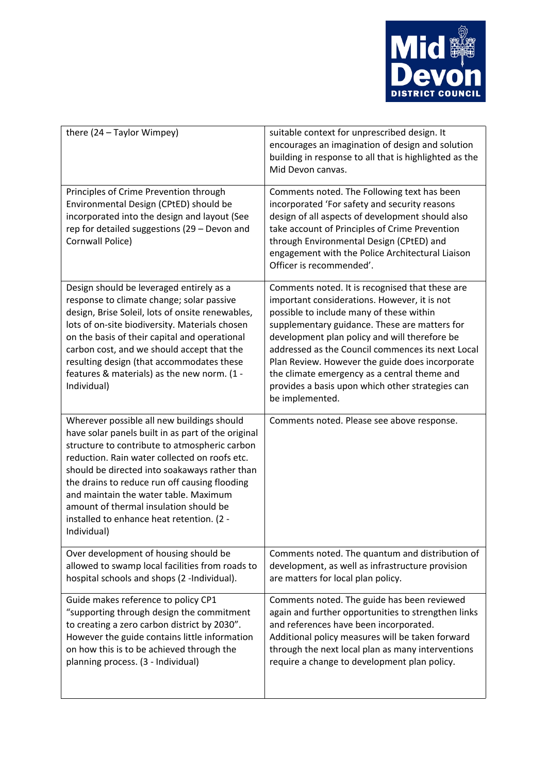

| there (24 - Taylor Wimpey)                                                                                                                                                                                                                                                                                                                                                                                                                          | suitable context for unprescribed design. It<br>encourages an imagination of design and solution<br>building in response to all that is highlighted as the<br>Mid Devon canvas.                                                                                                                                                                                                                                                                                              |
|-----------------------------------------------------------------------------------------------------------------------------------------------------------------------------------------------------------------------------------------------------------------------------------------------------------------------------------------------------------------------------------------------------------------------------------------------------|------------------------------------------------------------------------------------------------------------------------------------------------------------------------------------------------------------------------------------------------------------------------------------------------------------------------------------------------------------------------------------------------------------------------------------------------------------------------------|
| Principles of Crime Prevention through<br>Environmental Design (CPtED) should be<br>incorporated into the design and layout (See<br>rep for detailed suggestions (29 - Devon and<br>Cornwall Police)                                                                                                                                                                                                                                                | Comments noted. The Following text has been<br>incorporated 'For safety and security reasons<br>design of all aspects of development should also<br>take account of Principles of Crime Prevention<br>through Environmental Design (CPtED) and<br>engagement with the Police Architectural Liaison<br>Officer is recommended'.                                                                                                                                               |
| Design should be leveraged entirely as a<br>response to climate change; solar passive<br>design, Brise Soleil, lots of onsite renewables,<br>lots of on-site biodiversity. Materials chosen<br>on the basis of their capital and operational<br>carbon cost, and we should accept that the<br>resulting design (that accommodates these<br>features & materials) as the new norm. (1 -<br>Individual)                                               | Comments noted. It is recognised that these are<br>important considerations. However, it is not<br>possible to include many of these within<br>supplementary guidance. These are matters for<br>development plan policy and will therefore be<br>addressed as the Council commences its next Local<br>Plan Review. However the guide does incorporate<br>the climate emergency as a central theme and<br>provides a basis upon which other strategies can<br>be implemented. |
| Wherever possible all new buildings should<br>have solar panels built in as part of the original<br>structure to contribute to atmospheric carbon<br>reduction. Rain water collected on roofs etc.<br>should be directed into soakaways rather than<br>the drains to reduce run off causing flooding<br>and maintain the water table. Maximum<br>amount of thermal insulation should be<br>installed to enhance heat retention. (2 -<br>Individual) | Comments noted. Please see above response.                                                                                                                                                                                                                                                                                                                                                                                                                                   |
| Over development of housing should be<br>allowed to swamp local facilities from roads to<br>hospital schools and shops (2 -Individual).                                                                                                                                                                                                                                                                                                             | Comments noted. The quantum and distribution of<br>development, as well as infrastructure provision<br>are matters for local plan policy.                                                                                                                                                                                                                                                                                                                                    |
| Guide makes reference to policy CP1<br>"supporting through design the commitment<br>to creating a zero carbon district by 2030".<br>However the guide contains little information<br>on how this is to be achieved through the<br>planning process. (3 - Individual)                                                                                                                                                                                | Comments noted. The guide has been reviewed<br>again and further opportunities to strengthen links<br>and references have been incorporated.<br>Additional policy measures will be taken forward<br>through the next local plan as many interventions<br>require a change to development plan policy.                                                                                                                                                                        |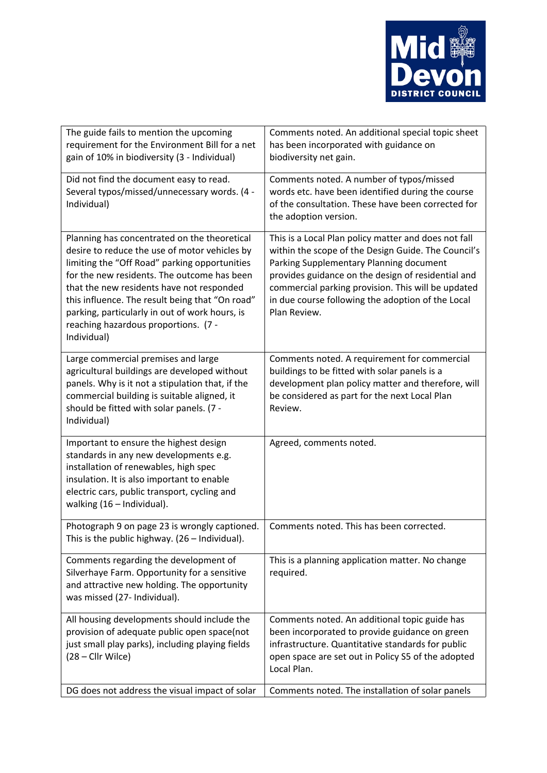

| The guide fails to mention the upcoming<br>requirement for the Environment Bill for a net<br>gain of 10% in biodiversity (3 - Individual)                                                                                                                                                                                                                                                              | Comments noted. An additional special topic sheet<br>has been incorporated with guidance on<br>biodiversity net gain.                                                                                                                                                                                                                   |
|--------------------------------------------------------------------------------------------------------------------------------------------------------------------------------------------------------------------------------------------------------------------------------------------------------------------------------------------------------------------------------------------------------|-----------------------------------------------------------------------------------------------------------------------------------------------------------------------------------------------------------------------------------------------------------------------------------------------------------------------------------------|
| Did not find the document easy to read.<br>Several typos/missed/unnecessary words. (4 -<br>Individual)                                                                                                                                                                                                                                                                                                 | Comments noted. A number of typos/missed<br>words etc. have been identified during the course<br>of the consultation. These have been corrected for<br>the adoption version.                                                                                                                                                            |
| Planning has concentrated on the theoretical<br>desire to reduce the use of motor vehicles by<br>limiting the "Off Road" parking opportunities<br>for the new residents. The outcome has been<br>that the new residents have not responded<br>this influence. The result being that "On road"<br>parking, particularly in out of work hours, is<br>reaching hazardous proportions. (7 -<br>Individual) | This is a Local Plan policy matter and does not fall<br>within the scope of the Design Guide. The Council's<br>Parking Supplementary Planning document<br>provides guidance on the design of residential and<br>commercial parking provision. This will be updated<br>in due course following the adoption of the Local<br>Plan Review. |
| Large commercial premises and large<br>agricultural buildings are developed without<br>panels. Why is it not a stipulation that, if the<br>commercial building is suitable aligned, it<br>should be fitted with solar panels. (7 -<br>Individual)                                                                                                                                                      | Comments noted. A requirement for commercial<br>buildings to be fitted with solar panels is a<br>development plan policy matter and therefore, will<br>be considered as part for the next Local Plan<br>Review.                                                                                                                         |
| Important to ensure the highest design<br>standards in any new developments e.g.<br>installation of renewables, high spec<br>insulation. It is also important to enable<br>electric cars, public transport, cycling and<br>walking (16 - Individual).                                                                                                                                                  | Agreed, comments noted.                                                                                                                                                                                                                                                                                                                 |
| Photograph 9 on page 23 is wrongly captioned.<br>This is the public highway. (26 - Individual).                                                                                                                                                                                                                                                                                                        | Comments noted. This has been corrected.                                                                                                                                                                                                                                                                                                |
| Comments regarding the development of<br>Silverhaye Farm. Opportunity for a sensitive<br>and attractive new holding. The opportunity<br>was missed (27- Individual).                                                                                                                                                                                                                                   | This is a planning application matter. No change<br>required.                                                                                                                                                                                                                                                                           |
| All housing developments should include the<br>provision of adequate public open space(not<br>just small play parks), including playing fields<br>(28 - Cllr Wilce)                                                                                                                                                                                                                                    | Comments noted. An additional topic guide has<br>been incorporated to provide guidance on green<br>infrastructure. Quantitative standards for public<br>open space are set out in Policy S5 of the adopted<br>Local Plan.                                                                                                               |
| DG does not address the visual impact of solar                                                                                                                                                                                                                                                                                                                                                         | Comments noted. The installation of solar panels                                                                                                                                                                                                                                                                                        |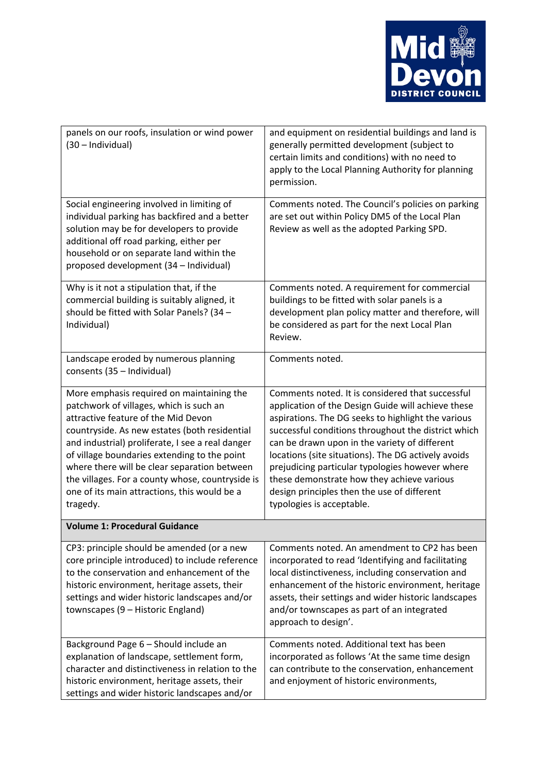

| panels on our roofs, insulation or wind power<br>(30 - Individual)                                                                                                                                                                                                                                                                                                                                                                               | and equipment on residential buildings and land is<br>generally permitted development (subject to<br>certain limits and conditions) with no need to<br>apply to the Local Planning Authority for planning<br>permission.                                                                                                                                                                                                                                                                                 |
|--------------------------------------------------------------------------------------------------------------------------------------------------------------------------------------------------------------------------------------------------------------------------------------------------------------------------------------------------------------------------------------------------------------------------------------------------|----------------------------------------------------------------------------------------------------------------------------------------------------------------------------------------------------------------------------------------------------------------------------------------------------------------------------------------------------------------------------------------------------------------------------------------------------------------------------------------------------------|
| Social engineering involved in limiting of<br>individual parking has backfired and a better<br>solution may be for developers to provide<br>additional off road parking, either per<br>household or on separate land within the<br>proposed development (34 - Individual)                                                                                                                                                                        | Comments noted. The Council's policies on parking<br>are set out within Policy DM5 of the Local Plan<br>Review as well as the adopted Parking SPD.                                                                                                                                                                                                                                                                                                                                                       |
| Why is it not a stipulation that, if the<br>commercial building is suitably aligned, it<br>should be fitted with Solar Panels? (34 -<br>Individual)                                                                                                                                                                                                                                                                                              | Comments noted. A requirement for commercial<br>buildings to be fitted with solar panels is a<br>development plan policy matter and therefore, will<br>be considered as part for the next Local Plan<br>Review.                                                                                                                                                                                                                                                                                          |
| Landscape eroded by numerous planning<br>consents (35 - Individual)                                                                                                                                                                                                                                                                                                                                                                              | Comments noted.                                                                                                                                                                                                                                                                                                                                                                                                                                                                                          |
| More emphasis required on maintaining the<br>patchwork of villages, which is such an<br>attractive feature of the Mid Devon<br>countryside. As new estates (both residential<br>and industrial) proliferate, I see a real danger<br>of village boundaries extending to the point<br>where there will be clear separation between<br>the villages. For a county whose, countryside is<br>one of its main attractions, this would be a<br>tragedy. | Comments noted. It is considered that successful<br>application of the Design Guide will achieve these<br>aspirations. The DG seeks to highlight the various<br>successful conditions throughout the district which<br>can be drawn upon in the variety of different<br>locations (site situations). The DG actively avoids<br>prejudicing particular typologies however where<br>these demonstrate how they achieve various<br>design principles then the use of different<br>typologies is acceptable. |
| <b>Volume 1: Procedural Guidance</b>                                                                                                                                                                                                                                                                                                                                                                                                             |                                                                                                                                                                                                                                                                                                                                                                                                                                                                                                          |
| CP3: principle should be amended (or a new<br>core principle introduced) to include reference<br>to the conservation and enhancement of the<br>historic environment, heritage assets, their<br>settings and wider historic landscapes and/or<br>townscapes (9 - Historic England)                                                                                                                                                                | Comments noted. An amendment to CP2 has been<br>incorporated to read 'Identifying and facilitating<br>local distinctiveness, including conservation and<br>enhancement of the historic environment, heritage<br>assets, their settings and wider historic landscapes<br>and/or townscapes as part of an integrated<br>approach to design'.                                                                                                                                                               |
| Background Page 6 - Should include an<br>explanation of landscape, settlement form,<br>character and distinctiveness in relation to the<br>historic environment, heritage assets, their<br>settings and wider historic landscapes and/or                                                                                                                                                                                                         | Comments noted. Additional text has been<br>incorporated as follows 'At the same time design<br>can contribute to the conservation, enhancement<br>and enjoyment of historic environments,                                                                                                                                                                                                                                                                                                               |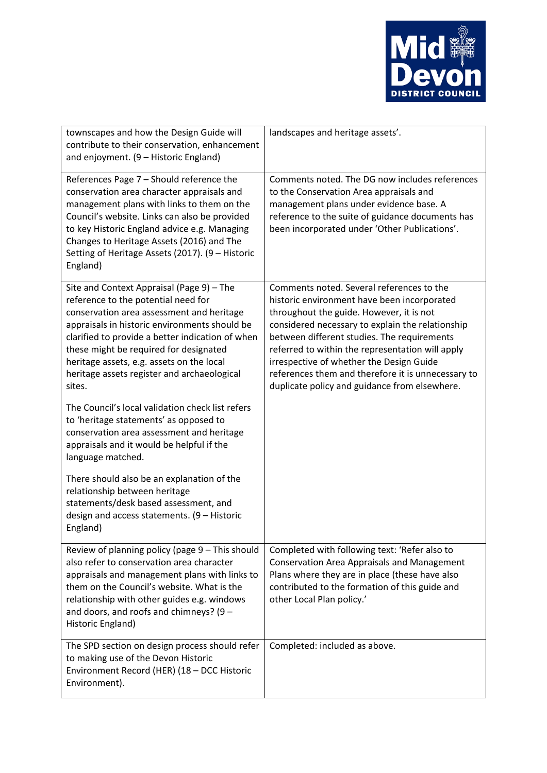

| townscapes and how the Design Guide will<br>contribute to their conservation, enhancement<br>and enjoyment. (9 - Historic England)                                                                                                                                                                                                                                                 | landscapes and heritage assets'.                                                                                                                                                                                                                                                                                                                                                                                                               |
|------------------------------------------------------------------------------------------------------------------------------------------------------------------------------------------------------------------------------------------------------------------------------------------------------------------------------------------------------------------------------------|------------------------------------------------------------------------------------------------------------------------------------------------------------------------------------------------------------------------------------------------------------------------------------------------------------------------------------------------------------------------------------------------------------------------------------------------|
| References Page 7 - Should reference the<br>conservation area character appraisals and<br>management plans with links to them on the<br>Council's website. Links can also be provided<br>to key Historic England advice e.g. Managing<br>Changes to Heritage Assets (2016) and The<br>Setting of Heritage Assets (2017). (9 - Historic<br>England)                                 | Comments noted. The DG now includes references<br>to the Conservation Area appraisals and<br>management plans under evidence base. A<br>reference to the suite of guidance documents has<br>been incorporated under 'Other Publications'.                                                                                                                                                                                                      |
| Site and Context Appraisal (Page 9) - The<br>reference to the potential need for<br>conservation area assessment and heritage<br>appraisals in historic environments should be<br>clarified to provide a better indication of when<br>these might be required for designated<br>heritage assets, e.g. assets on the local<br>heritage assets register and archaeological<br>sites. | Comments noted. Several references to the<br>historic environment have been incorporated<br>throughout the guide. However, it is not<br>considered necessary to explain the relationship<br>between different studies. The requirements<br>referred to within the representation will apply<br>irrespective of whether the Design Guide<br>references them and therefore it is unnecessary to<br>duplicate policy and guidance from elsewhere. |
| The Council's local validation check list refers<br>to 'heritage statements' as opposed to<br>conservation area assessment and heritage<br>appraisals and it would be helpful if the<br>language matched.                                                                                                                                                                          |                                                                                                                                                                                                                                                                                                                                                                                                                                                |
| There should also be an explanation of the<br>relationship between heritage<br>statements/desk based assessment, and<br>design and access statements. $(9 - Historic)$<br>England)                                                                                                                                                                                                 |                                                                                                                                                                                                                                                                                                                                                                                                                                                |
| Review of planning policy (page 9 - This should<br>also refer to conservation area character<br>appraisals and management plans with links to<br>them on the Council's website. What is the<br>relationship with other guides e.g. windows<br>and doors, and roofs and chimneys? $(9 -$<br>Historic England)                                                                       | Completed with following text: 'Refer also to<br><b>Conservation Area Appraisals and Management</b><br>Plans where they are in place (these have also<br>contributed to the formation of this guide and<br>other Local Plan policy.'                                                                                                                                                                                                           |
| The SPD section on design process should refer<br>to making use of the Devon Historic<br>Environment Record (HER) (18 - DCC Historic<br>Environment).                                                                                                                                                                                                                              | Completed: included as above.                                                                                                                                                                                                                                                                                                                                                                                                                  |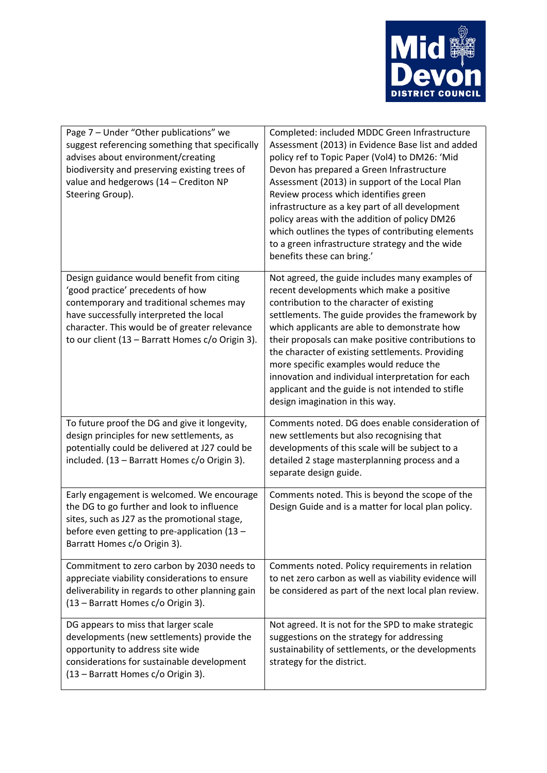

| Page 7 - Under "Other publications" we<br>suggest referencing something that specifically<br>advises about environment/creating<br>biodiversity and preserving existing trees of<br>value and hedgerows (14 - Crediton NP<br>Steering Group).                              | Completed: included MDDC Green Infrastructure<br>Assessment (2013) in Evidence Base list and added<br>policy ref to Topic Paper (Vol4) to DM26: 'Mid<br>Devon has prepared a Green Infrastructure<br>Assessment (2013) in support of the Local Plan<br>Review process which identifies green<br>infrastructure as a key part of all development<br>policy areas with the addition of policy DM26<br>which outlines the types of contributing elements<br>to a green infrastructure strategy and the wide<br>benefits these can bring.'          |
|----------------------------------------------------------------------------------------------------------------------------------------------------------------------------------------------------------------------------------------------------------------------------|-------------------------------------------------------------------------------------------------------------------------------------------------------------------------------------------------------------------------------------------------------------------------------------------------------------------------------------------------------------------------------------------------------------------------------------------------------------------------------------------------------------------------------------------------|
| Design guidance would benefit from citing<br>'good practice' precedents of how<br>contemporary and traditional schemes may<br>have successfully interpreted the local<br>character. This would be of greater relevance<br>to our client (13 - Barratt Homes c/o Origin 3). | Not agreed, the guide includes many examples of<br>recent developments which make a positive<br>contribution to the character of existing<br>settlements. The guide provides the framework by<br>which applicants are able to demonstrate how<br>their proposals can make positive contributions to<br>the character of existing settlements. Providing<br>more specific examples would reduce the<br>innovation and individual interpretation for each<br>applicant and the guide is not intended to stifle<br>design imagination in this way. |
| To future proof the DG and give it longevity,<br>design principles for new settlements, as<br>potentially could be delivered at J27 could be<br>included. (13 - Barratt Homes c/o Origin 3).                                                                               | Comments noted. DG does enable consideration of<br>new settlements but also recognising that<br>developments of this scale will be subject to a<br>detailed 2 stage masterplanning process and a<br>separate design guide.                                                                                                                                                                                                                                                                                                                      |
| Early engagement is welcomed. We encourage<br>the DG to go further and look to influence<br>sites, such as J27 as the promotional stage,<br>before even getting to pre-application (13 -<br>Barratt Homes c/o Origin 3).                                                   | Comments noted. This is beyond the scope of the<br>Design Guide and is a matter for local plan policy.                                                                                                                                                                                                                                                                                                                                                                                                                                          |
| Commitment to zero carbon by 2030 needs to<br>appreciate viability considerations to ensure<br>deliverability in regards to other planning gain<br>(13 - Barratt Homes c/o Origin 3).                                                                                      | Comments noted. Policy requirements in relation<br>to net zero carbon as well as viability evidence will<br>be considered as part of the next local plan review.                                                                                                                                                                                                                                                                                                                                                                                |
| DG appears to miss that larger scale<br>developments (new settlements) provide the<br>opportunity to address site wide<br>considerations for sustainable development<br>(13 - Barratt Homes c/o Origin 3).                                                                 | Not agreed. It is not for the SPD to make strategic<br>suggestions on the strategy for addressing<br>sustainability of settlements, or the developments<br>strategy for the district.                                                                                                                                                                                                                                                                                                                                                           |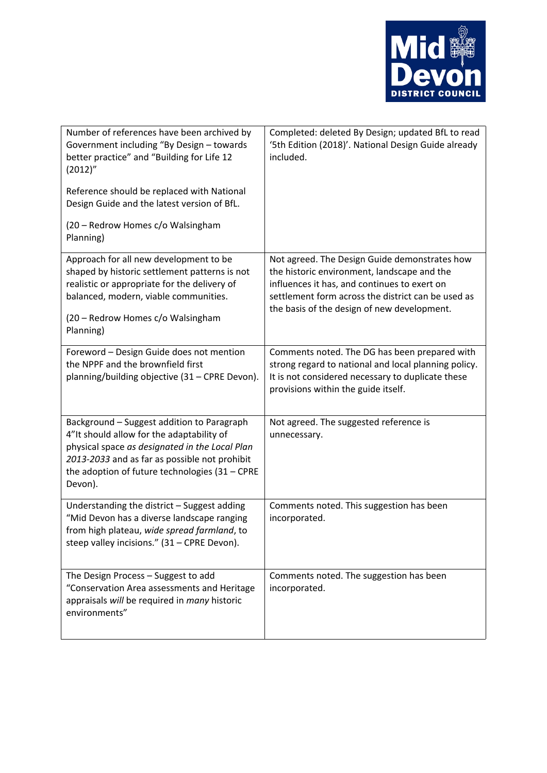

| Number of references have been archived by<br>Government including "By Design - towards<br>better practice" and "Building for Life 12<br>(2012)''<br>Reference should be replaced with National<br>Design Guide and the latest version of BfL.<br>(20 - Redrow Homes c/o Walsingham<br>Planning) | Completed: deleted By Design; updated BfL to read<br>'5th Edition (2018)'. National Design Guide already<br>included.                                                                                                                             |
|--------------------------------------------------------------------------------------------------------------------------------------------------------------------------------------------------------------------------------------------------------------------------------------------------|---------------------------------------------------------------------------------------------------------------------------------------------------------------------------------------------------------------------------------------------------|
| Approach for all new development to be<br>shaped by historic settlement patterns is not<br>realistic or appropriate for the delivery of<br>balanced, modern, viable communities.<br>(20 - Redrow Homes c/o Walsingham<br>Planning)                                                               | Not agreed. The Design Guide demonstrates how<br>the historic environment, landscape and the<br>influences it has, and continues to exert on<br>settlement form across the district can be used as<br>the basis of the design of new development. |
| Foreword - Design Guide does not mention<br>the NPPF and the brownfield first<br>planning/building objective (31 - CPRE Devon).                                                                                                                                                                  | Comments noted. The DG has been prepared with<br>strong regard to national and local planning policy.<br>It is not considered necessary to duplicate these<br>provisions within the guide itself.                                                 |
| Background - Suggest addition to Paragraph<br>4"It should allow for the adaptability of<br>physical space as designated in the Local Plan<br>2013-2033 and as far as possible not prohibit<br>the adoption of future technologies $(31 - \text{CPRE})$<br>Devon).                                | Not agreed. The suggested reference is<br>unnecessary.                                                                                                                                                                                            |
| Understanding the district - Suggest adding<br>"Mid Devon has a diverse landscape ranging<br>from high plateau, wide spread farmland, to<br>steep valley incisions." (31 - CPRE Devon).                                                                                                          | Comments noted. This suggestion has been<br>incorporated.                                                                                                                                                                                         |
| The Design Process - Suggest to add<br>"Conservation Area assessments and Heritage<br>appraisals will be required in many historic<br>environments"                                                                                                                                              | Comments noted. The suggestion has been<br>incorporated.                                                                                                                                                                                          |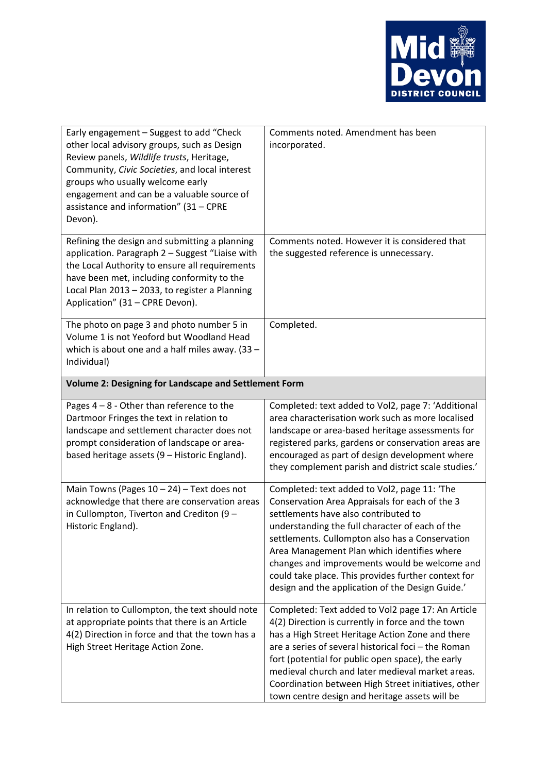

| Early engagement - Suggest to add "Check<br>other local advisory groups, such as Design<br>Review panels, Wildlife trusts, Heritage,<br>Community, Civic Societies, and local interest<br>groups who usually welcome early<br>engagement and can be a valuable source of<br>assistance and information" (31 - CPRE<br>Devon). | Comments noted. Amendment has been<br>incorporated.                                                                                                                                                                                                                                                                                                                                                                                                     |  |
|-------------------------------------------------------------------------------------------------------------------------------------------------------------------------------------------------------------------------------------------------------------------------------------------------------------------------------|---------------------------------------------------------------------------------------------------------------------------------------------------------------------------------------------------------------------------------------------------------------------------------------------------------------------------------------------------------------------------------------------------------------------------------------------------------|--|
| Refining the design and submitting a planning<br>application. Paragraph 2 - Suggest "Liaise with<br>the Local Authority to ensure all requirements<br>have been met, including conformity to the<br>Local Plan 2013 - 2033, to register a Planning<br>Application" (31 - CPRE Devon).                                         | Comments noted. However it is considered that<br>the suggested reference is unnecessary.                                                                                                                                                                                                                                                                                                                                                                |  |
| The photo on page 3 and photo number 5 in<br>Volume 1 is not Yeoford but Woodland Head<br>which is about one and a half miles away. $(33 -$<br>Individual)                                                                                                                                                                    | Completed.                                                                                                                                                                                                                                                                                                                                                                                                                                              |  |
| Volume 2: Designing for Landscape and Settlement Form                                                                                                                                                                                                                                                                         |                                                                                                                                                                                                                                                                                                                                                                                                                                                         |  |
| Pages $4 - 8$ - Other than reference to the<br>Dartmoor Fringes the text in relation to<br>landscape and settlement character does not<br>prompt consideration of landscape or area-<br>based heritage assets (9 - Historic England).                                                                                         | Completed: text added to Vol2, page 7: 'Additional<br>area characterisation work such as more localised<br>landscape or area-based heritage assessments for<br>registered parks, gardens or conservation areas are<br>encouraged as part of design development where<br>they complement parish and district scale studies.'                                                                                                                             |  |
| Main Towns (Pages $10 - 24$ ) – Text does not<br>acknowledge that there are conservation areas<br>in Cullompton, Tiverton and Crediton (9 $-$<br>Historic England).                                                                                                                                                           | Completed: text added to Vol2, page 11: 'The<br>Conservation Area Appraisals for each of the 3<br>settlements have also contributed to<br>understanding the full character of each of the<br>settlements. Cullompton also has a Conservation<br>Area Management Plan which identifies where<br>changes and improvements would be welcome and<br>could take place. This provides further context for<br>design and the application of the Design Guide.' |  |
| In relation to Cullompton, the text should note<br>at appropriate points that there is an Article<br>4(2) Direction in force and that the town has a<br>High Street Heritage Action Zone.                                                                                                                                     | Completed: Text added to Vol2 page 17: An Article<br>4(2) Direction is currently in force and the town<br>has a High Street Heritage Action Zone and there<br>are a series of several historical foci - the Roman<br>fort (potential for public open space), the early<br>medieval church and later medieval market areas.<br>Coordination between High Street initiatives, other<br>town centre design and heritage assets will be                     |  |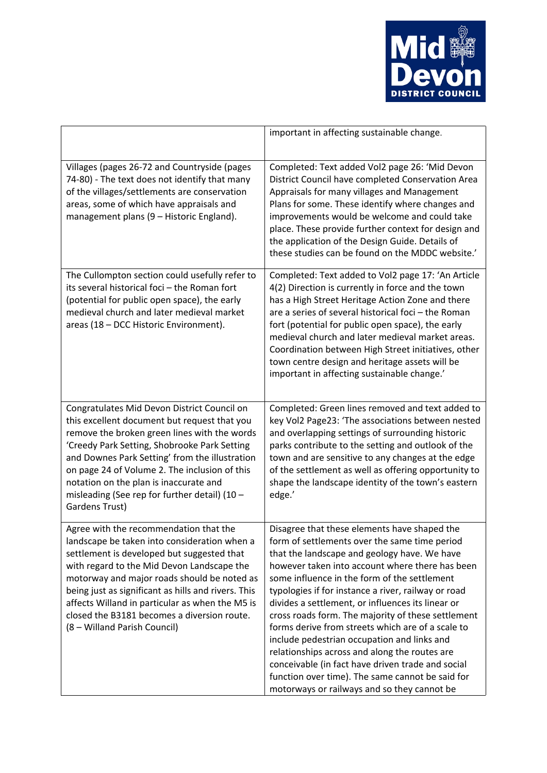

|                                                                                                                                                                                                                                                                                                                                                                                                                            | important in affecting sustainable change.                                                                                                                                                                                                                                                                                                                                                                                                                                                                                                                                                                                                                                                                                      |
|----------------------------------------------------------------------------------------------------------------------------------------------------------------------------------------------------------------------------------------------------------------------------------------------------------------------------------------------------------------------------------------------------------------------------|---------------------------------------------------------------------------------------------------------------------------------------------------------------------------------------------------------------------------------------------------------------------------------------------------------------------------------------------------------------------------------------------------------------------------------------------------------------------------------------------------------------------------------------------------------------------------------------------------------------------------------------------------------------------------------------------------------------------------------|
| Villages (pages 26-72 and Countryside (pages<br>74-80) - The text does not identify that many<br>of the villages/settlements are conservation<br>areas, some of which have appraisals and<br>management plans (9 - Historic England).                                                                                                                                                                                      | Completed: Text added Vol2 page 26: 'Mid Devon<br>District Council have completed Conservation Area<br>Appraisals for many villages and Management<br>Plans for some. These identify where changes and<br>improvements would be welcome and could take<br>place. These provide further context for design and<br>the application of the Design Guide. Details of<br>these studies can be found on the MDDC website.'                                                                                                                                                                                                                                                                                                            |
| The Cullompton section could usefully refer to<br>its several historical foci - the Roman fort<br>(potential for public open space), the early<br>medieval church and later medieval market<br>areas (18 - DCC Historic Environment).                                                                                                                                                                                      | Completed: Text added to Vol2 page 17: 'An Article<br>4(2) Direction is currently in force and the town<br>has a High Street Heritage Action Zone and there<br>are a series of several historical foci - the Roman<br>fort (potential for public open space), the early<br>medieval church and later medieval market areas.<br>Coordination between High Street initiatives, other<br>town centre design and heritage assets will be<br>important in affecting sustainable change.'                                                                                                                                                                                                                                             |
| Congratulates Mid Devon District Council on<br>this excellent document but request that you<br>remove the broken green lines with the words<br>'Creedy Park Setting, Shobrooke Park Setting<br>and Downes Park Setting' from the illustration<br>on page 24 of Volume 2. The inclusion of this<br>notation on the plan is inaccurate and<br>misleading (See rep for further detail) $(10 -$<br>Gardens Trust)              | Completed: Green lines removed and text added to<br>key Vol2 Page23: 'The associations between nested<br>and overlapping settings of surrounding historic<br>parks contribute to the setting and outlook of the<br>town and are sensitive to any changes at the edge<br>of the settlement as well as offering opportunity to<br>shape the landscape identity of the town's eastern<br>edge.'                                                                                                                                                                                                                                                                                                                                    |
| Agree with the recommendation that the<br>landscape be taken into consideration when a<br>settlement is developed but suggested that<br>with regard to the Mid Devon Landscape the<br>motorway and major roads should be noted as<br>being just as significant as hills and rivers. This<br>affects Willand in particular as when the M5 is<br>closed the B3181 becomes a diversion route.<br>(8 - Willand Parish Council) | Disagree that these elements have shaped the<br>form of settlements over the same time period<br>that the landscape and geology have. We have<br>however taken into account where there has been<br>some influence in the form of the settlement<br>typologies if for instance a river, railway or road<br>divides a settlement, or influences its linear or<br>cross roads form. The majority of these settlement<br>forms derive from streets which are of a scale to<br>include pedestrian occupation and links and<br>relationships across and along the routes are<br>conceivable (in fact have driven trade and social<br>function over time). The same cannot be said for<br>motorways or railways and so they cannot be |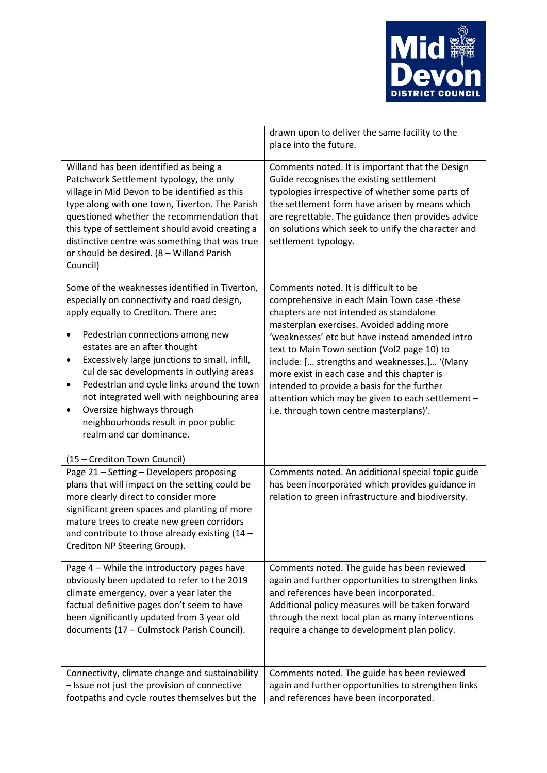

|                                                                                                                                                                                                                                                                                                                                                                                                                                                                                                                                           | drawn upon to deliver the same facility to the<br>place into the future.                                                                                                                                                                                                                                                                                                                                                                                                                                                     |
|-------------------------------------------------------------------------------------------------------------------------------------------------------------------------------------------------------------------------------------------------------------------------------------------------------------------------------------------------------------------------------------------------------------------------------------------------------------------------------------------------------------------------------------------|------------------------------------------------------------------------------------------------------------------------------------------------------------------------------------------------------------------------------------------------------------------------------------------------------------------------------------------------------------------------------------------------------------------------------------------------------------------------------------------------------------------------------|
| Willand has been identified as being a<br>Patchwork Settlement typology, the only<br>village in Mid Devon to be identified as this<br>type along with one town, Tiverton. The Parish<br>questioned whether the recommendation that<br>this type of settlement should avoid creating a<br>distinctive centre was something that was true<br>or should be desired. (8 - Willand Parish<br>Council)                                                                                                                                          | Comments noted. It is important that the Design<br>Guide recognises the existing settlement<br>typologies irrespective of whether some parts of<br>the settlement form have arisen by means which<br>are regrettable. The guidance then provides advice<br>on solutions which seek to unify the character and<br>settlement typology.                                                                                                                                                                                        |
| Some of the weaknesses identified in Tiverton,<br>especially on connectivity and road design,<br>apply equally to Crediton. There are:<br>Pedestrian connections among new<br>$\bullet$<br>estates are an after thought<br>Excessively large junctions to small, infill,<br>٠<br>cul de sac developments in outlying areas<br>Pedestrian and cycle links around the town<br>$\bullet$<br>not integrated well with neighbouring area<br>Oversize highways through<br>٠<br>neighbourhoods result in poor public<br>realm and car dominance. | Comments noted. It is difficult to be<br>comprehensive in each Main Town case -these<br>chapters are not intended as standalone<br>masterplan exercises. Avoided adding more<br>'weaknesses' etc but have instead amended intro<br>text to Main Town section (Vol2 page 10) to<br>include: [ strengths and weaknesses.] '(Many<br>more exist in each case and this chapter is<br>intended to provide a basis for the further<br>attention which may be given to each settlement -<br>i.e. through town centre masterplans)'. |
| (15 - Crediton Town Council)<br>Page 21 - Setting - Developers proposing<br>plans that will impact on the setting could be<br>more clearly direct to consider more<br>significant green spaces and planting of more<br>mature trees to create new green corridors<br>and contribute to those already existing $(14 -$<br>Crediton NP Steering Group).                                                                                                                                                                                     | Comments noted. An additional special topic guide<br>has been incorporated which provides guidance in<br>relation to green infrastructure and biodiversity.                                                                                                                                                                                                                                                                                                                                                                  |
| Page 4 - While the introductory pages have<br>obviously been updated to refer to the 2019<br>climate emergency, over a year later the<br>factual definitive pages don't seem to have<br>been significantly updated from 3 year old<br>documents (17 - Culmstock Parish Council).                                                                                                                                                                                                                                                          | Comments noted. The guide has been reviewed<br>again and further opportunities to strengthen links<br>and references have been incorporated.<br>Additional policy measures will be taken forward<br>through the next local plan as many interventions<br>require a change to development plan policy.                                                                                                                                                                                                                        |
| Connectivity, climate change and sustainability<br>- Issue not just the provision of connective<br>footpaths and cycle routes themselves but the                                                                                                                                                                                                                                                                                                                                                                                          | Comments noted. The guide has been reviewed<br>again and further opportunities to strengthen links<br>and references have been incorporated.                                                                                                                                                                                                                                                                                                                                                                                 |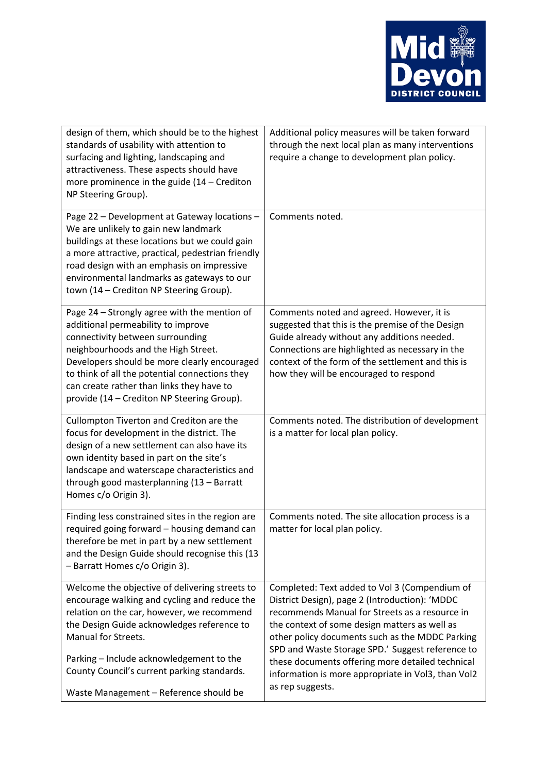

| design of them, which should be to the highest<br>standards of usability with attention to<br>surfacing and lighting, landscaping and<br>attractiveness. These aspects should have<br>more prominence in the guide $(14 - C$ rediton<br>NP Steering Group).                                                                                                | Additional policy measures will be taken forward<br>through the next local plan as many interventions<br>require a change to development plan policy.                                                                                                                                                                                                                                                                                   |
|------------------------------------------------------------------------------------------------------------------------------------------------------------------------------------------------------------------------------------------------------------------------------------------------------------------------------------------------------------|-----------------------------------------------------------------------------------------------------------------------------------------------------------------------------------------------------------------------------------------------------------------------------------------------------------------------------------------------------------------------------------------------------------------------------------------|
| Page 22 - Development at Gateway locations -<br>We are unlikely to gain new landmark<br>buildings at these locations but we could gain<br>a more attractive, practical, pedestrian friendly<br>road design with an emphasis on impressive<br>environmental landmarks as gateways to our<br>town (14 - Crediton NP Steering Group).                         | Comments noted.                                                                                                                                                                                                                                                                                                                                                                                                                         |
| Page 24 - Strongly agree with the mention of<br>additional permeability to improve<br>connectivity between surrounding<br>neighbourhoods and the High Street.<br>Developers should be more clearly encouraged<br>to think of all the potential connections they<br>can create rather than links they have to<br>provide (14 - Crediton NP Steering Group). | Comments noted and agreed. However, it is<br>suggested that this is the premise of the Design<br>Guide already without any additions needed.<br>Connections are highlighted as necessary in the<br>context of the form of the settlement and this is<br>how they will be encouraged to respond                                                                                                                                          |
| Cullompton Tiverton and Crediton are the<br>focus for development in the district. The<br>design of a new settlement can also have its<br>own identity based in part on the site's<br>landscape and waterscape characteristics and<br>through good masterplanning (13 - Barratt<br>Homes c/o Origin 3).                                                    | Comments noted. The distribution of development<br>is a matter for local plan policy.                                                                                                                                                                                                                                                                                                                                                   |
| Finding less constrained sites in the region are<br>required going forward - housing demand can<br>therefore be met in part by a new settlement<br>and the Design Guide should recognise this (13<br>- Barratt Homes c/o Origin 3).                                                                                                                        | Comments noted. The site allocation process is a<br>matter for local plan policy.                                                                                                                                                                                                                                                                                                                                                       |
| Welcome the objective of delivering streets to<br>encourage walking and cycling and reduce the<br>relation on the car, however, we recommend<br>the Design Guide acknowledges reference to<br>Manual for Streets.<br>Parking - Include acknowledgement to the<br>County Council's current parking standards.<br>Waste Management - Reference should be     | Completed: Text added to Vol 3 (Compendium of<br>District Design), page 2 (Introduction): 'MDDC<br>recommends Manual for Streets as a resource in<br>the context of some design matters as well as<br>other policy documents such as the MDDC Parking<br>SPD and Waste Storage SPD.' Suggest reference to<br>these documents offering more detailed technical<br>information is more appropriate in Vol3, than Vol2<br>as rep suggests. |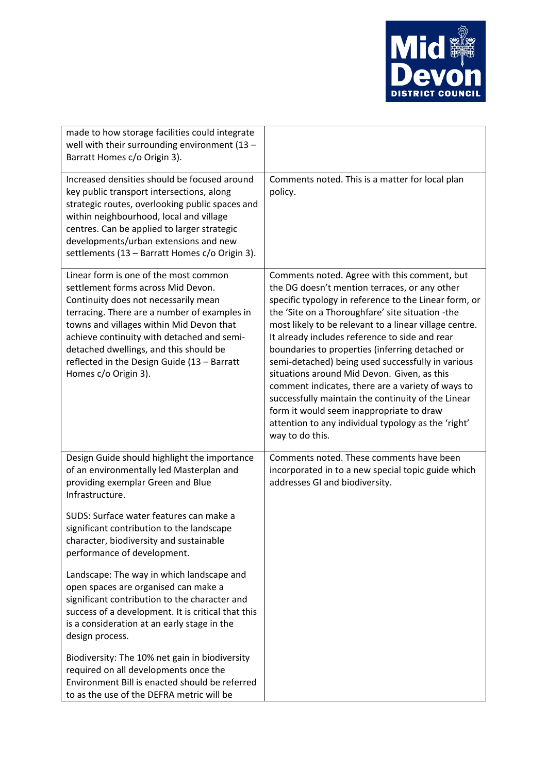

| made to how storage facilities could integrate<br>well with their surrounding environment $(13 -$<br>Barratt Homes c/o Origin 3).                                                                                                                                                                                                                                              |                                                                                                                                                                                                                                                                                                                                                                                                                                                                                                                                                                                                                                                                                                                |
|--------------------------------------------------------------------------------------------------------------------------------------------------------------------------------------------------------------------------------------------------------------------------------------------------------------------------------------------------------------------------------|----------------------------------------------------------------------------------------------------------------------------------------------------------------------------------------------------------------------------------------------------------------------------------------------------------------------------------------------------------------------------------------------------------------------------------------------------------------------------------------------------------------------------------------------------------------------------------------------------------------------------------------------------------------------------------------------------------------|
| Increased densities should be focused around<br>key public transport intersections, along<br>strategic routes, overlooking public spaces and<br>within neighbourhood, local and village<br>centres. Can be applied to larger strategic<br>developments/urban extensions and new<br>settlements (13 - Barratt Homes c/o Origin 3).                                              | Comments noted. This is a matter for local plan<br>policy.                                                                                                                                                                                                                                                                                                                                                                                                                                                                                                                                                                                                                                                     |
| Linear form is one of the most common<br>settlement forms across Mid Devon.<br>Continuity does not necessarily mean<br>terracing. There are a number of examples in<br>towns and villages within Mid Devon that<br>achieve continuity with detached and semi-<br>detached dwellings, and this should be<br>reflected in the Design Guide (13 - Barratt<br>Homes c/o Origin 3). | Comments noted. Agree with this comment, but<br>the DG doesn't mention terraces, or any other<br>specific typology in reference to the Linear form, or<br>the 'Site on a Thoroughfare' site situation -the<br>most likely to be relevant to a linear village centre.<br>It already includes reference to side and rear<br>boundaries to properties (inferring detached or<br>semi-detached) being used successfully in various<br>situations around Mid Devon. Given, as this<br>comment indicates, there are a variety of ways to<br>successfully maintain the continuity of the Linear<br>form it would seem inappropriate to draw<br>attention to any individual typology as the 'right'<br>way to do this. |
| Design Guide should highlight the importance<br>of an environmentally led Masterplan and<br>providing exemplar Green and Blue<br>Infrastructure.                                                                                                                                                                                                                               | Comments noted. These comments have been<br>incorporated in to a new special topic guide which<br>addresses GI and biodiversity.                                                                                                                                                                                                                                                                                                                                                                                                                                                                                                                                                                               |
| SUDS: Surface water features can make a<br>significant contribution to the landscape<br>character, biodiversity and sustainable<br>performance of development.                                                                                                                                                                                                                 |                                                                                                                                                                                                                                                                                                                                                                                                                                                                                                                                                                                                                                                                                                                |
| Landscape: The way in which landscape and<br>open spaces are organised can make a<br>significant contribution to the character and<br>success of a development. It is critical that this<br>is a consideration at an early stage in the<br>design process.                                                                                                                     |                                                                                                                                                                                                                                                                                                                                                                                                                                                                                                                                                                                                                                                                                                                |
| Biodiversity: The 10% net gain in biodiversity<br>required on all developments once the<br>Environment Bill is enacted should be referred<br>to as the use of the DEFRA metric will be                                                                                                                                                                                         |                                                                                                                                                                                                                                                                                                                                                                                                                                                                                                                                                                                                                                                                                                                |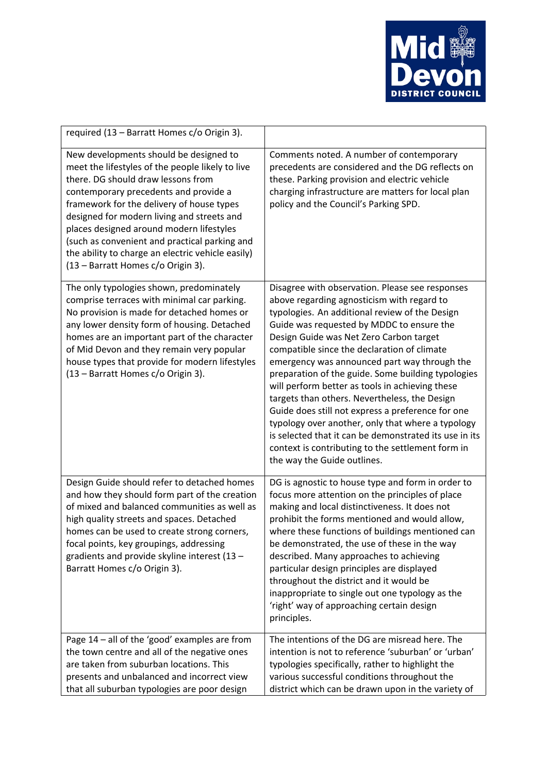

| required (13 - Barratt Homes c/o Origin 3).                                                                                                                                                                                                                                                                                                                                                                                                                  |                                                                                                                                                                                                                                                                                                                                                                                                                                                                                                                                                                                                                                                                                                                                                          |
|--------------------------------------------------------------------------------------------------------------------------------------------------------------------------------------------------------------------------------------------------------------------------------------------------------------------------------------------------------------------------------------------------------------------------------------------------------------|----------------------------------------------------------------------------------------------------------------------------------------------------------------------------------------------------------------------------------------------------------------------------------------------------------------------------------------------------------------------------------------------------------------------------------------------------------------------------------------------------------------------------------------------------------------------------------------------------------------------------------------------------------------------------------------------------------------------------------------------------------|
| New developments should be designed to<br>meet the lifestyles of the people likely to live<br>there. DG should draw lessons from<br>contemporary precedents and provide a<br>framework for the delivery of house types<br>designed for modern living and streets and<br>places designed around modern lifestyles<br>(such as convenient and practical parking and<br>the ability to charge an electric vehicle easily)<br>(13 - Barratt Homes c/o Origin 3). | Comments noted. A number of contemporary<br>precedents are considered and the DG reflects on<br>these. Parking provision and electric vehicle<br>charging infrastructure are matters for local plan<br>policy and the Council's Parking SPD.                                                                                                                                                                                                                                                                                                                                                                                                                                                                                                             |
| The only typologies shown, predominately<br>comprise terraces with minimal car parking.<br>No provision is made for detached homes or<br>any lower density form of housing. Detached<br>homes are an important part of the character<br>of Mid Devon and they remain very popular<br>house types that provide for modern lifestyles<br>(13 - Barratt Homes c/o Origin 3).                                                                                    | Disagree with observation. Please see responses<br>above regarding agnosticism with regard to<br>typologies. An additional review of the Design<br>Guide was requested by MDDC to ensure the<br>Design Guide was Net Zero Carbon target<br>compatible since the declaration of climate<br>emergency was announced part way through the<br>preparation of the guide. Some building typologies<br>will perform better as tools in achieving these<br>targets than others. Nevertheless, the Design<br>Guide does still not express a preference for one<br>typology over another, only that where a typology<br>is selected that it can be demonstrated its use in its<br>context is contributing to the settlement form in<br>the way the Guide outlines. |
| Design Guide should refer to detached homes<br>and how they should form part of the creation<br>of mixed and balanced communities as well as<br>high quality streets and spaces. Detached<br>homes can be used to create strong corners,<br>focal points, key groupings, addressing<br>gradients and provide skyline interest (13 -<br>Barratt Homes c/o Origin 3).                                                                                          | DG is agnostic to house type and form in order to<br>focus more attention on the principles of place<br>making and local distinctiveness. It does not<br>prohibit the forms mentioned and would allow,<br>where these functions of buildings mentioned can<br>be demonstrated, the use of these in the way<br>described. Many approaches to achieving<br>particular design principles are displayed<br>throughout the district and it would be<br>inappropriate to single out one typology as the<br>'right' way of approaching certain design<br>principles.                                                                                                                                                                                            |
| Page 14 - all of the 'good' examples are from<br>the town centre and all of the negative ones<br>are taken from suburban locations. This<br>presents and unbalanced and incorrect view<br>that all suburban typologies are poor design                                                                                                                                                                                                                       | The intentions of the DG are misread here. The<br>intention is not to reference 'suburban' or 'urban'<br>typologies specifically, rather to highlight the<br>various successful conditions throughout the<br>district which can be drawn upon in the variety of                                                                                                                                                                                                                                                                                                                                                                                                                                                                                          |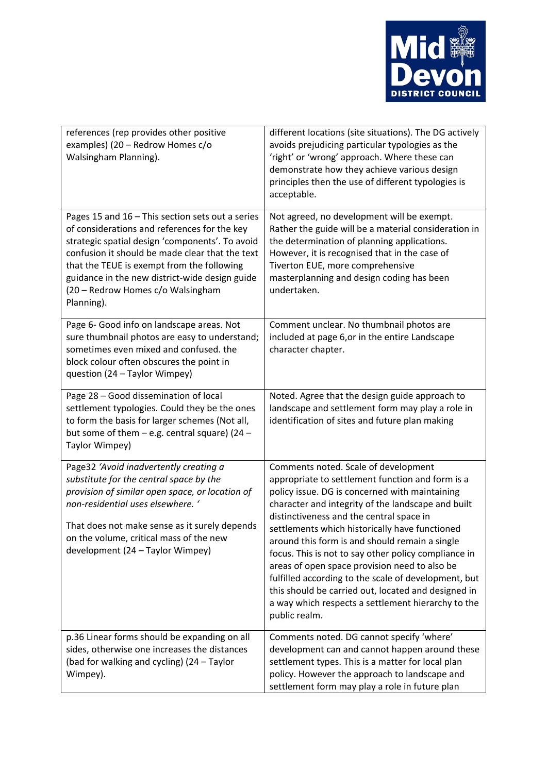

| references (rep provides other positive<br>examples) (20 - Redrow Homes c/o<br>Walsingham Planning).                                                                                                                                                                                                                                                      | different locations (site situations). The DG actively<br>avoids prejudicing particular typologies as the<br>'right' or 'wrong' approach. Where these can<br>demonstrate how they achieve various design<br>principles then the use of different typologies is<br>acceptable.                                                                                                                                                                                                                                                                                                                                                                   |
|-----------------------------------------------------------------------------------------------------------------------------------------------------------------------------------------------------------------------------------------------------------------------------------------------------------------------------------------------------------|-------------------------------------------------------------------------------------------------------------------------------------------------------------------------------------------------------------------------------------------------------------------------------------------------------------------------------------------------------------------------------------------------------------------------------------------------------------------------------------------------------------------------------------------------------------------------------------------------------------------------------------------------|
| Pages 15 and 16 - This section sets out a series<br>of considerations and references for the key<br>strategic spatial design 'components'. To avoid<br>confusion it should be made clear that the text<br>that the TEUE is exempt from the following<br>guidance in the new district-wide design guide<br>(20 - Redrow Homes c/o Walsingham<br>Planning). | Not agreed, no development will be exempt.<br>Rather the guide will be a material consideration in<br>the determination of planning applications.<br>However, it is recognised that in the case of<br>Tiverton EUE, more comprehensive<br>masterplanning and design coding has been<br>undertaken.                                                                                                                                                                                                                                                                                                                                              |
| Page 6- Good info on landscape areas. Not<br>sure thumbnail photos are easy to understand;<br>sometimes even mixed and confused. the<br>block colour often obscures the point in<br>question (24 - Taylor Wimpey)                                                                                                                                         | Comment unclear. No thumbnail photos are<br>included at page 6, or in the entire Landscape<br>character chapter.                                                                                                                                                                                                                                                                                                                                                                                                                                                                                                                                |
| Page 28 - Good dissemination of local<br>settlement typologies. Could they be the ones<br>to form the basis for larger schemes (Not all,<br>but some of them $-$ e.g. central square) (24 $-$<br>Taylor Wimpey)                                                                                                                                           | Noted. Agree that the design guide approach to<br>landscape and settlement form may play a role in<br>identification of sites and future plan making                                                                                                                                                                                                                                                                                                                                                                                                                                                                                            |
| Page32 'Avoid inadvertently creating a<br>substitute for the central space by the<br>provision of similar open space, or location of<br>non-residential uses elsewhere. '<br>That does not make sense as it surely depends<br>on the volume, critical mass of the new<br>development (24 - Taylor Wimpey)                                                 | Comments noted. Scale of development<br>appropriate to settlement function and form is a<br>policy issue. DG is concerned with maintaining<br>character and integrity of the landscape and built<br>distinctiveness and the central space in<br>settlements which historically have functioned<br>around this form is and should remain a single<br>focus. This is not to say other policy compliance in<br>areas of open space provision need to also be<br>fulfilled according to the scale of development, but<br>this should be carried out, located and designed in<br>a way which respects a settlement hierarchy to the<br>public realm. |
| p.36 Linear forms should be expanding on all<br>sides, otherwise one increases the distances<br>(bad for walking and cycling) (24 - Taylor<br>Wimpey).                                                                                                                                                                                                    | Comments noted. DG cannot specify 'where'<br>development can and cannot happen around these<br>settlement types. This is a matter for local plan<br>policy. However the approach to landscape and<br>settlement form may play a role in future plan                                                                                                                                                                                                                                                                                                                                                                                             |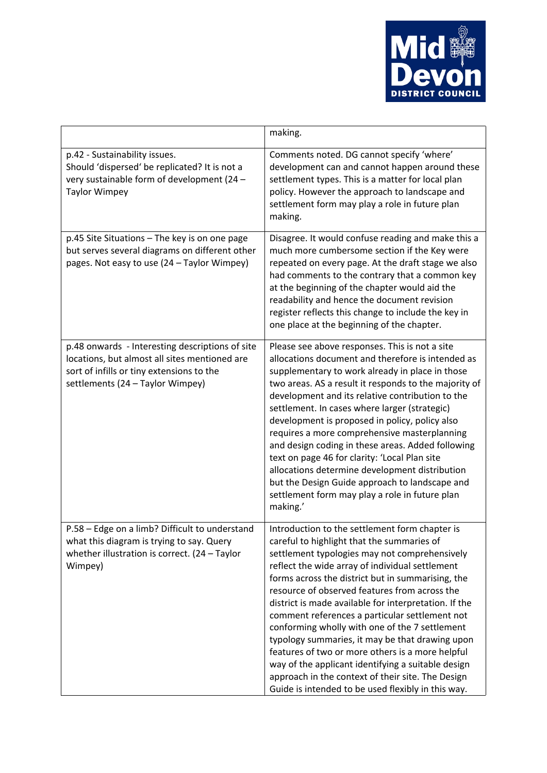

|                                                                                                                                                                                   | making.                                                                                                                                                                                                                                                                                                                                                                                                                                                                                                                                                                                                                                                                                                                                     |
|-----------------------------------------------------------------------------------------------------------------------------------------------------------------------------------|---------------------------------------------------------------------------------------------------------------------------------------------------------------------------------------------------------------------------------------------------------------------------------------------------------------------------------------------------------------------------------------------------------------------------------------------------------------------------------------------------------------------------------------------------------------------------------------------------------------------------------------------------------------------------------------------------------------------------------------------|
| p.42 - Sustainability issues.<br>Should 'dispersed' be replicated? It is not a<br>very sustainable form of development (24 -<br><b>Taylor Wimpey</b>                              | Comments noted. DG cannot specify 'where'<br>development can and cannot happen around these<br>settlement types. This is a matter for local plan<br>policy. However the approach to landscape and<br>settlement form may play a role in future plan<br>making.                                                                                                                                                                                                                                                                                                                                                                                                                                                                              |
| p.45 Site Situations - The key is on one page<br>but serves several diagrams on different other<br>pages. Not easy to use (24 - Taylor Wimpey)                                    | Disagree. It would confuse reading and make this a<br>much more cumbersome section if the Key were<br>repeated on every page. At the draft stage we also<br>had comments to the contrary that a common key<br>at the beginning of the chapter would aid the<br>readability and hence the document revision<br>register reflects this change to include the key in<br>one place at the beginning of the chapter.                                                                                                                                                                                                                                                                                                                             |
| p.48 onwards - Interesting descriptions of site<br>locations, but almost all sites mentioned are<br>sort of infills or tiny extensions to the<br>settlements (24 - Taylor Wimpey) | Please see above responses. This is not a site<br>allocations document and therefore is intended as<br>supplementary to work already in place in those<br>two areas. AS a result it responds to the majority of<br>development and its relative contribution to the<br>settlement. In cases where larger (strategic)<br>development is proposed in policy, policy also<br>requires a more comprehensive masterplanning<br>and design coding in these areas. Added following<br>text on page 46 for clarity: 'Local Plan site<br>allocations determine development distribution<br>but the Design Guide approach to landscape and<br>settlement form may play a role in future plan<br>making.'                                              |
| P.58 - Edge on a limb? Difficult to understand<br>what this diagram is trying to say. Query<br>whether illustration is correct. $(24 - Taylor)$<br>Wimpey)                        | Introduction to the settlement form chapter is<br>careful to highlight that the summaries of<br>settlement typologies may not comprehensively<br>reflect the wide array of individual settlement<br>forms across the district but in summarising, the<br>resource of observed features from across the<br>district is made available for interpretation. If the<br>comment references a particular settlement not<br>conforming wholly with one of the 7 settlement<br>typology summaries, it may be that drawing upon<br>features of two or more others is a more helpful<br>way of the applicant identifying a suitable design<br>approach in the context of their site. The Design<br>Guide is intended to be used flexibly in this way. |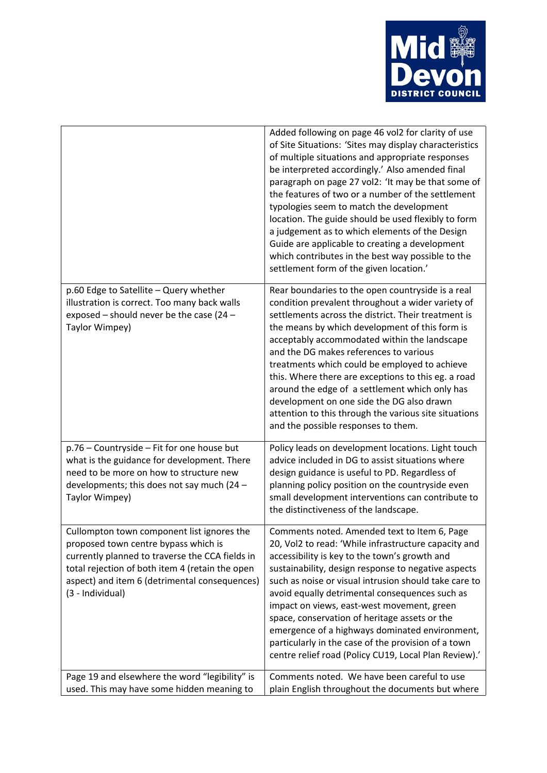

|                                                                                                                                                                                                                                                               | Added following on page 46 vol2 for clarity of use<br>of Site Situations: 'Sites may display characteristics<br>of multiple situations and appropriate responses<br>be interpreted accordingly.' Also amended final<br>paragraph on page 27 vol2: 'It may be that some of<br>the features of two or a number of the settlement<br>typologies seem to match the development<br>location. The guide should be used flexibly to form<br>a judgement as to which elements of the Design<br>Guide are applicable to creating a development<br>which contributes in the best way possible to the<br>settlement form of the given location.' |
|---------------------------------------------------------------------------------------------------------------------------------------------------------------------------------------------------------------------------------------------------------------|---------------------------------------------------------------------------------------------------------------------------------------------------------------------------------------------------------------------------------------------------------------------------------------------------------------------------------------------------------------------------------------------------------------------------------------------------------------------------------------------------------------------------------------------------------------------------------------------------------------------------------------|
| p.60 Edge to Satellite - Query whether<br>illustration is correct. Too many back walls<br>exposed - should never be the case (24 -<br>Taylor Wimpey)                                                                                                          | Rear boundaries to the open countryside is a real<br>condition prevalent throughout a wider variety of<br>settlements across the district. Their treatment is<br>the means by which development of this form is<br>acceptably accommodated within the landscape<br>and the DG makes references to various<br>treatments which could be employed to achieve<br>this. Where there are exceptions to this eg. a road<br>around the edge of a settlement which only has<br>development on one side the DG also drawn<br>attention to this through the various site situations<br>and the possible responses to them.                      |
| p.76 - Countryside - Fit for one house but<br>what is the guidance for development. There<br>need to be more on how to structure new<br>developments; this does not say much (24 $-$<br>Taylor Wimpey)                                                        | Policy leads on development locations. Light touch<br>advice included in DG to assist situations where<br>design guidance is useful to PD. Regardless of<br>planning policy position on the countryside even<br>small development interventions can contribute to<br>the distinctiveness of the landscape.                                                                                                                                                                                                                                                                                                                            |
| Cullompton town component list ignores the<br>proposed town centre bypass which is<br>currently planned to traverse the CCA fields in<br>total rejection of both item 4 (retain the open<br>aspect) and item 6 (detrimental consequences)<br>(3 - Individual) | Comments noted. Amended text to Item 6, Page<br>20, Vol2 to read: 'While infrastructure capacity and<br>accessibility is key to the town's growth and<br>sustainability, design response to negative aspects<br>such as noise or visual intrusion should take care to<br>avoid equally detrimental consequences such as<br>impact on views, east-west movement, green<br>space, conservation of heritage assets or the<br>emergence of a highways dominated environment,<br>particularly in the case of the provision of a town<br>centre relief road (Policy CU19, Local Plan Review).'                                              |
| Page 19 and elsewhere the word "legibility" is<br>used. This may have some hidden meaning to                                                                                                                                                                  | Comments noted. We have been careful to use<br>plain English throughout the documents but where                                                                                                                                                                                                                                                                                                                                                                                                                                                                                                                                       |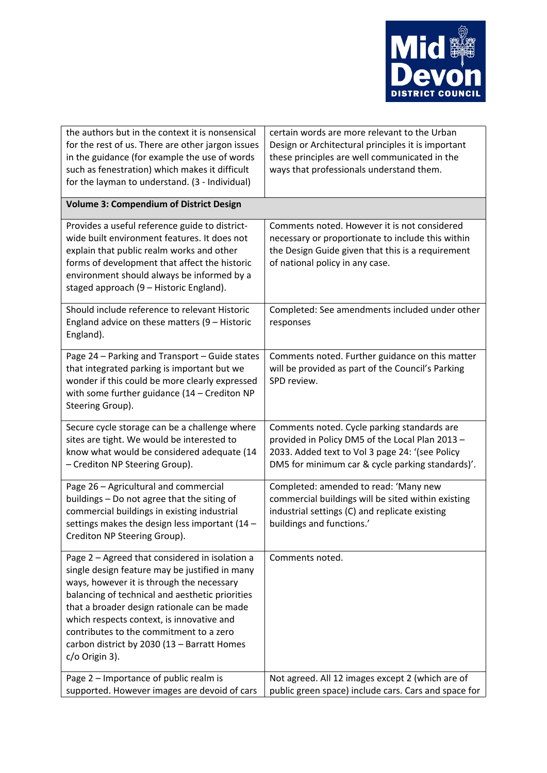

| the authors but in the context it is nonsensical<br>for the rest of us. There are other jargon issues<br>in the guidance (for example the use of words<br>such as fenestration) which makes it difficult<br>for the layman to understand. (3 - Individual)                                                                                                                                                  | certain words are more relevant to the Urban<br>Design or Architectural principles it is important<br>these principles are well communicated in the<br>ways that professionals understand them.       |
|-------------------------------------------------------------------------------------------------------------------------------------------------------------------------------------------------------------------------------------------------------------------------------------------------------------------------------------------------------------------------------------------------------------|-------------------------------------------------------------------------------------------------------------------------------------------------------------------------------------------------------|
| <b>Volume 3: Compendium of District Design</b>                                                                                                                                                                                                                                                                                                                                                              |                                                                                                                                                                                                       |
| Provides a useful reference guide to district-<br>wide built environment features. It does not<br>explain that public realm works and other<br>forms of development that affect the historic<br>environment should always be informed by a<br>staged approach (9 - Historic England).                                                                                                                       | Comments noted. However it is not considered<br>necessary or proportionate to include this within<br>the Design Guide given that this is a requirement<br>of national policy in any case.             |
| Should include reference to relevant Historic<br>England advice on these matters (9 - Historic<br>England).                                                                                                                                                                                                                                                                                                 | Completed: See amendments included under other<br>responses                                                                                                                                           |
| Page 24 - Parking and Transport - Guide states<br>that integrated parking is important but we<br>wonder if this could be more clearly expressed<br>with some further guidance $(14 - C$ rediton NP<br>Steering Group).                                                                                                                                                                                      | Comments noted. Further guidance on this matter<br>will be provided as part of the Council's Parking<br>SPD review.                                                                                   |
| Secure cycle storage can be a challenge where<br>sites are tight. We would be interested to<br>know what would be considered adequate (14<br>- Crediton NP Steering Group).                                                                                                                                                                                                                                 | Comments noted. Cycle parking standards are<br>provided in Policy DM5 of the Local Plan 2013 -<br>2033. Added text to Vol 3 page 24: '(see Policy<br>DM5 for minimum car & cycle parking standards)'. |
| Page 26 - Agricultural and commercial<br>buildings - Do not agree that the siting of<br>commercial buildings in existing industrial<br>settings makes the design less important (14 -<br>Crediton NP Steering Group).                                                                                                                                                                                       | Completed: amended to read: 'Many new<br>commercial buildings will be sited within existing<br>industrial settings (C) and replicate existing<br>buildings and functions.'                            |
| Page 2 - Agreed that considered in isolation a<br>single design feature may be justified in many<br>ways, however it is through the necessary<br>balancing of technical and aesthetic priorities<br>that a broader design rationale can be made<br>which respects context, is innovative and<br>contributes to the commitment to a zero<br>carbon district by 2030 (13 - Barratt Homes<br>$c$ /o Origin 3). | Comments noted.                                                                                                                                                                                       |
| Page 2 - Importance of public realm is<br>supported. However images are devoid of cars                                                                                                                                                                                                                                                                                                                      | Not agreed. All 12 images except 2 (which are of<br>public green space) include cars. Cars and space for                                                                                              |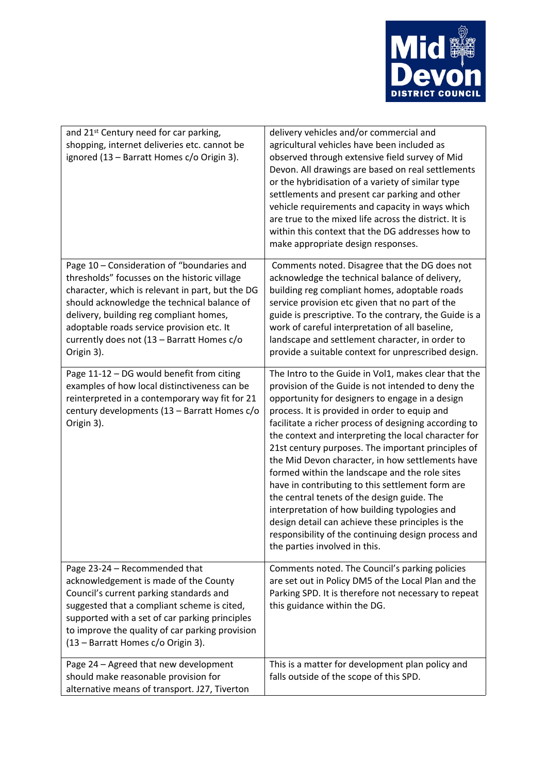

| and 21 <sup>st</sup> Century need for car parking,<br>shopping, internet deliveries etc. cannot be<br>ignored (13 - Barratt Homes c/o Origin 3).                                                                                                                                                                                                  | delivery vehicles and/or commercial and<br>agricultural vehicles have been included as<br>observed through extensive field survey of Mid<br>Devon. All drawings are based on real settlements<br>or the hybridisation of a variety of similar type<br>settlements and present car parking and other<br>vehicle requirements and capacity in ways which<br>are true to the mixed life across the district. It is<br>within this context that the DG addresses how to<br>make appropriate design responses.                                                                                                                                                                                                                                                                                    |
|---------------------------------------------------------------------------------------------------------------------------------------------------------------------------------------------------------------------------------------------------------------------------------------------------------------------------------------------------|----------------------------------------------------------------------------------------------------------------------------------------------------------------------------------------------------------------------------------------------------------------------------------------------------------------------------------------------------------------------------------------------------------------------------------------------------------------------------------------------------------------------------------------------------------------------------------------------------------------------------------------------------------------------------------------------------------------------------------------------------------------------------------------------|
| Page 10 - Consideration of "boundaries and<br>thresholds" focusses on the historic village<br>character, which is relevant in part, but the DG<br>should acknowledge the technical balance of<br>delivery, building reg compliant homes,<br>adoptable roads service provision etc. It<br>currently does not (13 - Barratt Homes c/o<br>Origin 3). | Comments noted. Disagree that the DG does not<br>acknowledge the technical balance of delivery,<br>building reg compliant homes, adoptable roads<br>service provision etc given that no part of the<br>guide is prescriptive. To the contrary, the Guide is a<br>work of careful interpretation of all baseline,<br>landscape and settlement character, in order to<br>provide a suitable context for unprescribed design.                                                                                                                                                                                                                                                                                                                                                                   |
| Page 11-12 - DG would benefit from citing<br>examples of how local distinctiveness can be<br>reinterpreted in a contemporary way fit for 21<br>century developments (13 - Barratt Homes c/o<br>Origin 3).                                                                                                                                         | The Intro to the Guide in Vol1, makes clear that the<br>provision of the Guide is not intended to deny the<br>opportunity for designers to engage in a design<br>process. It is provided in order to equip and<br>facilitate a richer process of designing according to<br>the context and interpreting the local character for<br>21st century purposes. The important principles of<br>the Mid Devon character, in how settlements have<br>formed within the landscape and the role sites<br>have in contributing to this settlement form are<br>the central tenets of the design guide. The<br>interpretation of how building typologies and<br>design detail can achieve these principles is the<br>responsibility of the continuing design process and<br>the parties involved in this. |
| Page 23-24 - Recommended that<br>acknowledgement is made of the County<br>Council's current parking standards and<br>suggested that a compliant scheme is cited,<br>supported with a set of car parking principles<br>to improve the quality of car parking provision<br>(13 - Barratt Homes c/o Origin 3).                                       | Comments noted. The Council's parking policies<br>are set out in Policy DM5 of the Local Plan and the<br>Parking SPD. It is therefore not necessary to repeat<br>this guidance within the DG.                                                                                                                                                                                                                                                                                                                                                                                                                                                                                                                                                                                                |
| Page 24 - Agreed that new development<br>should make reasonable provision for<br>alternative means of transport. J27, Tiverton                                                                                                                                                                                                                    | This is a matter for development plan policy and<br>falls outside of the scope of this SPD.                                                                                                                                                                                                                                                                                                                                                                                                                                                                                                                                                                                                                                                                                                  |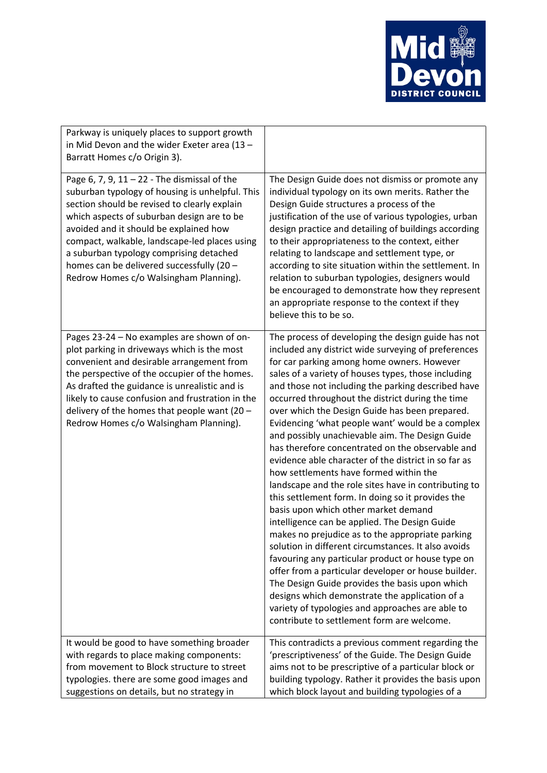

| Parkway is uniquely places to support growth<br>in Mid Devon and the wider Exeter area (13 -<br>Barratt Homes c/o Origin 3).                                                                                                                                                                                                                                                                                                 |                                                                                                                                                                                                                                                                                                                                                                                                                                                                                                                                                                                                                                                                                                                                                                                                                                                                                                                                                                                                                                                                                                                                                                                                                                                                            |
|------------------------------------------------------------------------------------------------------------------------------------------------------------------------------------------------------------------------------------------------------------------------------------------------------------------------------------------------------------------------------------------------------------------------------|----------------------------------------------------------------------------------------------------------------------------------------------------------------------------------------------------------------------------------------------------------------------------------------------------------------------------------------------------------------------------------------------------------------------------------------------------------------------------------------------------------------------------------------------------------------------------------------------------------------------------------------------------------------------------------------------------------------------------------------------------------------------------------------------------------------------------------------------------------------------------------------------------------------------------------------------------------------------------------------------------------------------------------------------------------------------------------------------------------------------------------------------------------------------------------------------------------------------------------------------------------------------------|
|                                                                                                                                                                                                                                                                                                                                                                                                                              |                                                                                                                                                                                                                                                                                                                                                                                                                                                                                                                                                                                                                                                                                                                                                                                                                                                                                                                                                                                                                                                                                                                                                                                                                                                                            |
| Page 6, 7, 9, $11 - 22$ - The dismissal of the<br>suburban typology of housing is unhelpful. This<br>section should be revised to clearly explain<br>which aspects of suburban design are to be<br>avoided and it should be explained how<br>compact, walkable, landscape-led places using<br>a suburban typology comprising detached<br>homes can be delivered successfully (20 -<br>Redrow Homes c/o Walsingham Planning). | The Design Guide does not dismiss or promote any<br>individual typology on its own merits. Rather the<br>Design Guide structures a process of the<br>justification of the use of various typologies, urban<br>design practice and detailing of buildings according<br>to their appropriateness to the context, either<br>relating to landscape and settlement type, or<br>according to site situation within the settlement. In<br>relation to suburban typologies, designers would<br>be encouraged to demonstrate how they represent<br>an appropriate response to the context if they<br>believe this to be so.                                                                                                                                                                                                                                                                                                                                                                                                                                                                                                                                                                                                                                                         |
| Pages 23-24 - No examples are shown of on-<br>plot parking in driveways which is the most<br>convenient and desirable arrangement from<br>the perspective of the occupier of the homes.<br>As drafted the guidance is unrealistic and is<br>likely to cause confusion and frustration in the<br>delivery of the homes that people want (20 $-$<br>Redrow Homes c/o Walsingham Planning).                                     | The process of developing the design guide has not<br>included any district wide surveying of preferences<br>for car parking among home owners. However<br>sales of a variety of houses types, those including<br>and those not including the parking described have<br>occurred throughout the district during the time<br>over which the Design Guide has been prepared.<br>Evidencing 'what people want' would be a complex<br>and possibly unachievable aim. The Design Guide<br>has therefore concentrated on the observable and<br>evidence able character of the district in so far as<br>how settlements have formed within the<br>landscape and the role sites have in contributing to<br>this settlement form. In doing so it provides the<br>basis upon which other market demand<br>intelligence can be applied. The Design Guide<br>makes no prejudice as to the appropriate parking<br>solution in different circumstances. It also avoids<br>favouring any particular product or house type on<br>offer from a particular developer or house builder.<br>The Design Guide provides the basis upon which<br>designs which demonstrate the application of a<br>variety of typologies and approaches are able to<br>contribute to settlement form are welcome. |
| It would be good to have something broader<br>with regards to place making components:<br>from movement to Block structure to street<br>typologies. there are some good images and<br>suggestions on details, but no strategy in                                                                                                                                                                                             | This contradicts a previous comment regarding the<br>'prescriptiveness' of the Guide. The Design Guide<br>aims not to be prescriptive of a particular block or<br>building typology. Rather it provides the basis upon<br>which block layout and building typologies of a                                                                                                                                                                                                                                                                                                                                                                                                                                                                                                                                                                                                                                                                                                                                                                                                                                                                                                                                                                                                  |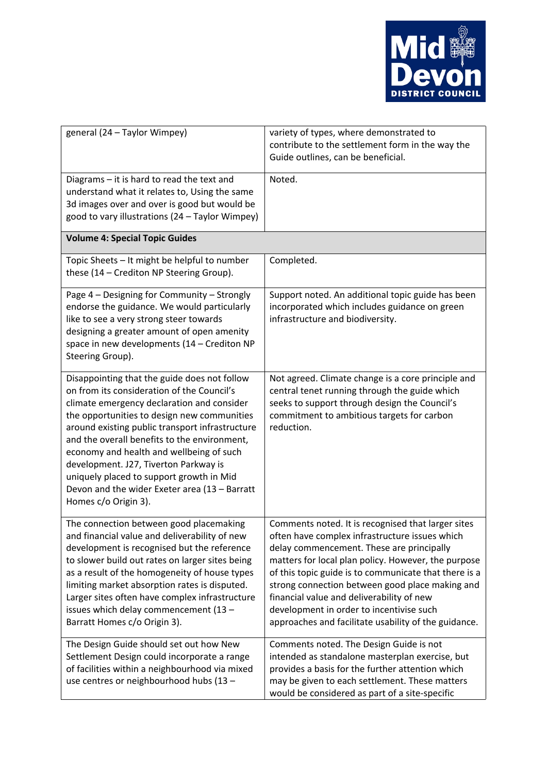

| general (24 - Taylor Wimpey)                                                                                                                                                                                                                                                                                                                                                                                                                                                                         | variety of types, where demonstrated to<br>contribute to the settlement form in the way the<br>Guide outlines, can be beneficial.                                                                                                                                                                                                                                                                                                                                     |  |
|------------------------------------------------------------------------------------------------------------------------------------------------------------------------------------------------------------------------------------------------------------------------------------------------------------------------------------------------------------------------------------------------------------------------------------------------------------------------------------------------------|-----------------------------------------------------------------------------------------------------------------------------------------------------------------------------------------------------------------------------------------------------------------------------------------------------------------------------------------------------------------------------------------------------------------------------------------------------------------------|--|
| Diagrams - it is hard to read the text and<br>understand what it relates to, Using the same<br>3d images over and over is good but would be<br>good to vary illustrations (24 - Taylor Wimpey)                                                                                                                                                                                                                                                                                                       | Noted.                                                                                                                                                                                                                                                                                                                                                                                                                                                                |  |
| <b>Volume 4: Special Topic Guides</b>                                                                                                                                                                                                                                                                                                                                                                                                                                                                |                                                                                                                                                                                                                                                                                                                                                                                                                                                                       |  |
| Topic Sheets - It might be helpful to number<br>these (14 - Crediton NP Steering Group).                                                                                                                                                                                                                                                                                                                                                                                                             | Completed.                                                                                                                                                                                                                                                                                                                                                                                                                                                            |  |
| Page 4 - Designing for Community - Strongly<br>endorse the guidance. We would particularly<br>like to see a very strong steer towards<br>designing a greater amount of open amenity<br>space in new developments (14 - Crediton NP<br>Steering Group).                                                                                                                                                                                                                                               | Support noted. An additional topic guide has been<br>incorporated which includes guidance on green<br>infrastructure and biodiversity.                                                                                                                                                                                                                                                                                                                                |  |
| Disappointing that the guide does not follow<br>on from its consideration of the Council's<br>climate emergency declaration and consider<br>the opportunities to design new communities<br>around existing public transport infrastructure<br>and the overall benefits to the environment,<br>economy and health and wellbeing of such<br>development. J27, Tiverton Parkway is<br>uniquely placed to support growth in Mid<br>Devon and the wider Exeter area (13 - Barratt<br>Homes c/o Origin 3). | Not agreed. Climate change is a core principle and<br>central tenet running through the guide which<br>seeks to support through design the Council's<br>commitment to ambitious targets for carbon<br>reduction.                                                                                                                                                                                                                                                      |  |
| The connection between good placemaking<br>and financial value and deliverability of new<br>development is recognised but the reference<br>to slower build out rates on larger sites being<br>as a result of the homogeneity of house types<br>limiting market absorption rates is disputed.<br>Larger sites often have complex infrastructure<br>issues which delay commencement (13 -<br>Barratt Homes c/o Origin 3).                                                                              | Comments noted. It is recognised that larger sites<br>often have complex infrastructure issues which<br>delay commencement. These are principally<br>matters for local plan policy. However, the purpose<br>of this topic guide is to communicate that there is a<br>strong connection between good place making and<br>financial value and deliverability of new<br>development in order to incentivise such<br>approaches and facilitate usability of the guidance. |  |
| The Design Guide should set out how New<br>Settlement Design could incorporate a range<br>of facilities within a neighbourhood via mixed<br>use centres or neighbourhood hubs (13 -                                                                                                                                                                                                                                                                                                                  | Comments noted. The Design Guide is not<br>intended as standalone masterplan exercise, but<br>provides a basis for the further attention which<br>may be given to each settlement. These matters<br>would be considered as part of a site-specific                                                                                                                                                                                                                    |  |